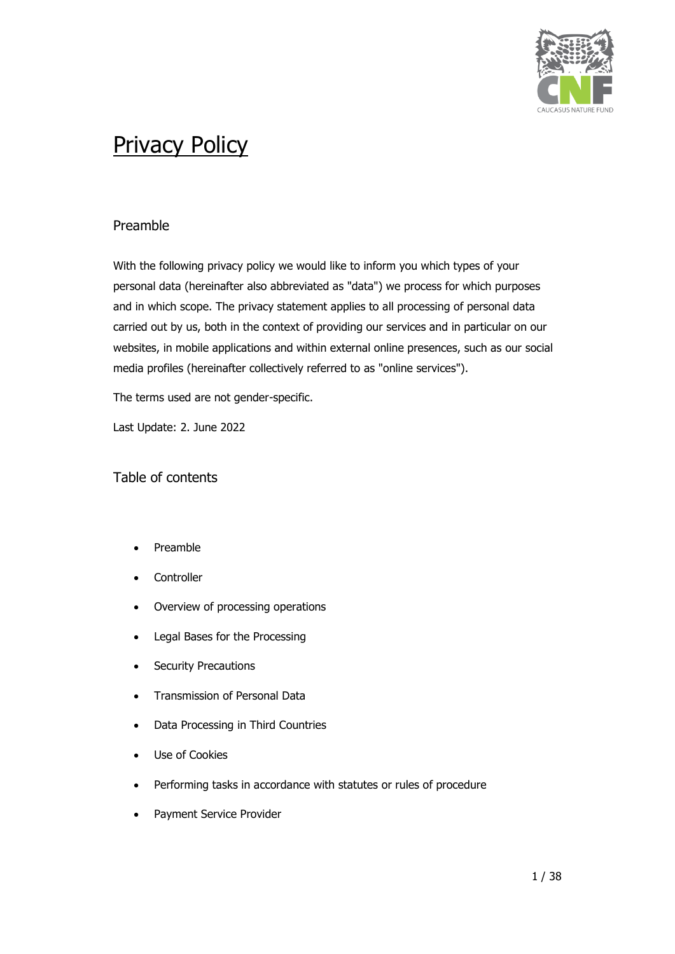

# Preamble

With the following privacy policy we would like to inform you which types of your personal data (hereinafter also abbreviated as "data") we process for which purposes and in which scope. The privacy statement applies to all processing of personal data carried out by us, both in the context of providing our services and in particular on our websites, in mobile applications and within external online presences, such as our social media profiles (hereinafter collectively referred to as "online services").

The terms used are not gender-specific.

Last Update: 2. June 2022

# Table of contents

- Preamble
- **Controller**
- Overview of processing operations
- Legal Bases for the Processing
- Security Precautions
- Transmission of Personal Data
- Data Processing in Third Countries
- Use of Cookies
- Performing tasks in accordance with statutes or rules of procedure
- Payment Service Provider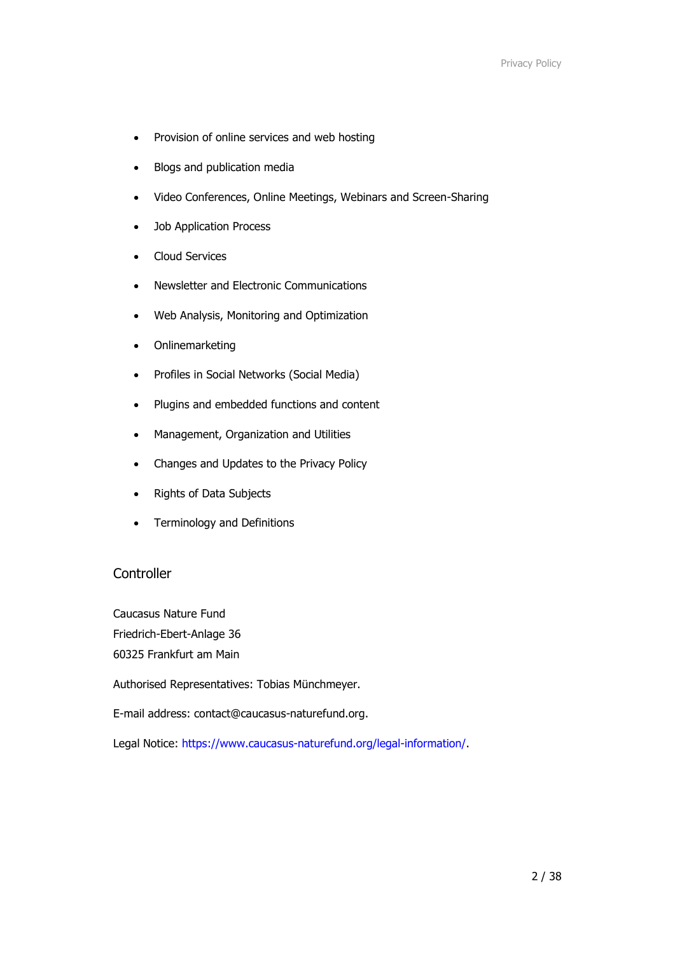- Provision of online services and web hosting
- Blogs and publication media
- Video Conferences, Online Meetings, Webinars and Screen-Sharing
- Job Application Process
- Cloud Services
- Newsletter and Electronic Communications
- Web Analysis, Monitoring and Optimization
- Onlinemarketing
- Profiles in Social Networks (Social Media)
- Plugins and embedded functions and content
- Management, Organization and Utilities
- Changes and Updates to the Privacy Policy
- Rights of Data Subjects
- Terminology and Definitions

# **Controller**

Caucasus Nature Fund Friedrich-Ebert-Anlage 36 60325 Frankfurt am Main

Authorised Representatives: Tobias Münchmeyer.

E-mail address: contact@caucasus-naturefund.org.

Legal Notice: [https://www.caucasus-naturefund.org/legal-information/.](https://www.caucasus-naturefund.org/legal-information/)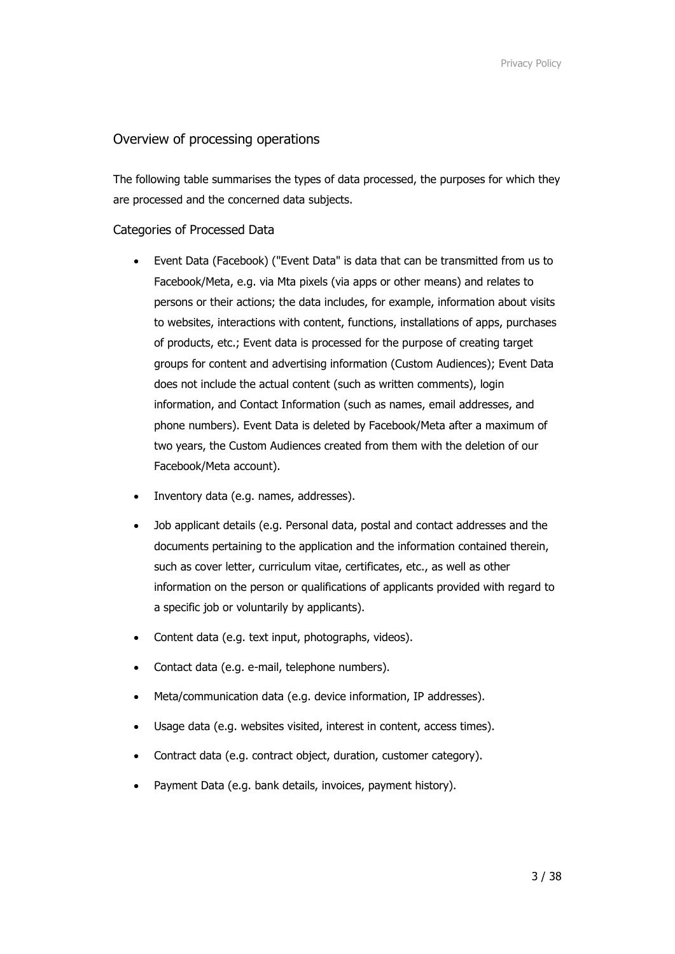## Overview of processing operations

The following table summarises the types of data processed, the purposes for which they are processed and the concerned data subjects.

## Categories of Processed Data

- Event Data (Facebook) ("Event Data" is data that can be transmitted from us to Facebook/Meta, e.g. via Mta pixels (via apps or other means) and relates to persons or their actions; the data includes, for example, information about visits to websites, interactions with content, functions, installations of apps, purchases of products, etc.; Event data is processed for the purpose of creating target groups for content and advertising information (Custom Audiences); Event Data does not include the actual content (such as written comments), login information, and Contact Information (such as names, email addresses, and phone numbers). Event Data is deleted by Facebook/Meta after a maximum of two years, the Custom Audiences created from them with the deletion of our Facebook/Meta account).
- Inventory data (e.g. names, addresses).
- Job applicant details (e.g. Personal data, postal and contact addresses and the documents pertaining to the application and the information contained therein, such as cover letter, curriculum vitae, certificates, etc., as well as other information on the person or qualifications of applicants provided with regard to a specific job or voluntarily by applicants).
- Content data (e.g. text input, photographs, videos).
- Contact data (e.g. e-mail, telephone numbers).
- Meta/communication data (e.g. device information, IP addresses).
- Usage data (e.g. websites visited, interest in content, access times).
- Contract data (e.g. contract object, duration, customer category).
- Payment Data (e.g. bank details, invoices, payment history).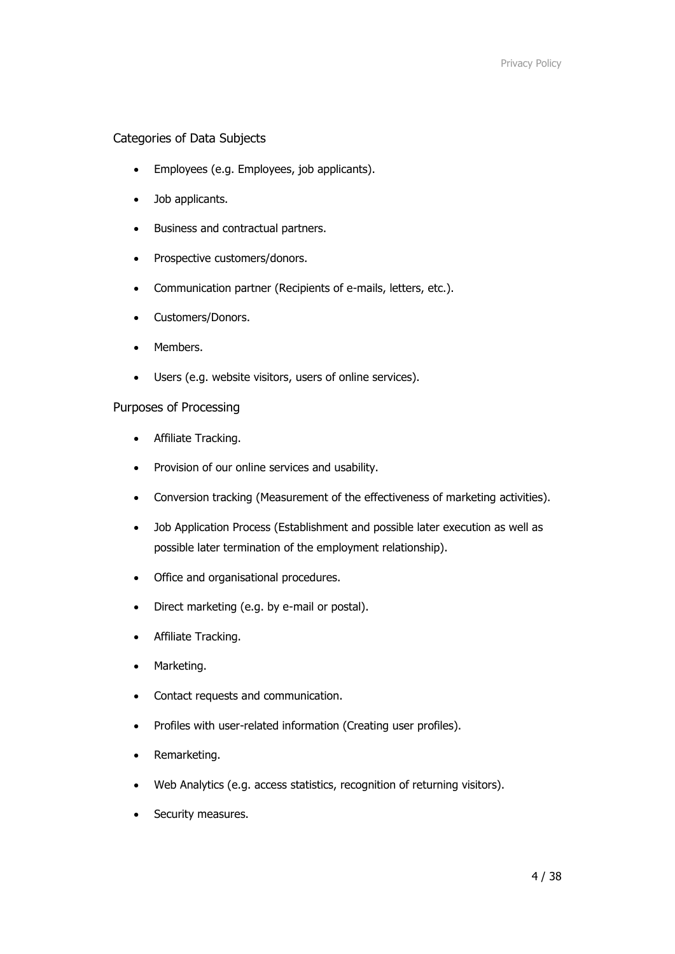## Categories of Data Subjects

- Employees (e.g. Employees, job applicants).
- Job applicants.
- Business and contractual partners.
- Prospective customers/donors.
- Communication partner (Recipients of e-mails, letters, etc.).
- Customers/Donors.
- Members.
- Users (e.g. website visitors, users of online services).

## Purposes of Processing

- Affiliate Tracking.
- Provision of our online services and usability.
- Conversion tracking (Measurement of the effectiveness of marketing activities).
- Job Application Process (Establishment and possible later execution as well as possible later termination of the employment relationship).
- Office and organisational procedures.
- Direct marketing (e.g. by e-mail or postal).
- Affiliate Tracking.
- Marketing.
- Contact requests and communication.
- Profiles with user-related information (Creating user profiles).
- Remarketing.
- Web Analytics (e.g. access statistics, recognition of returning visitors).
- Security measures.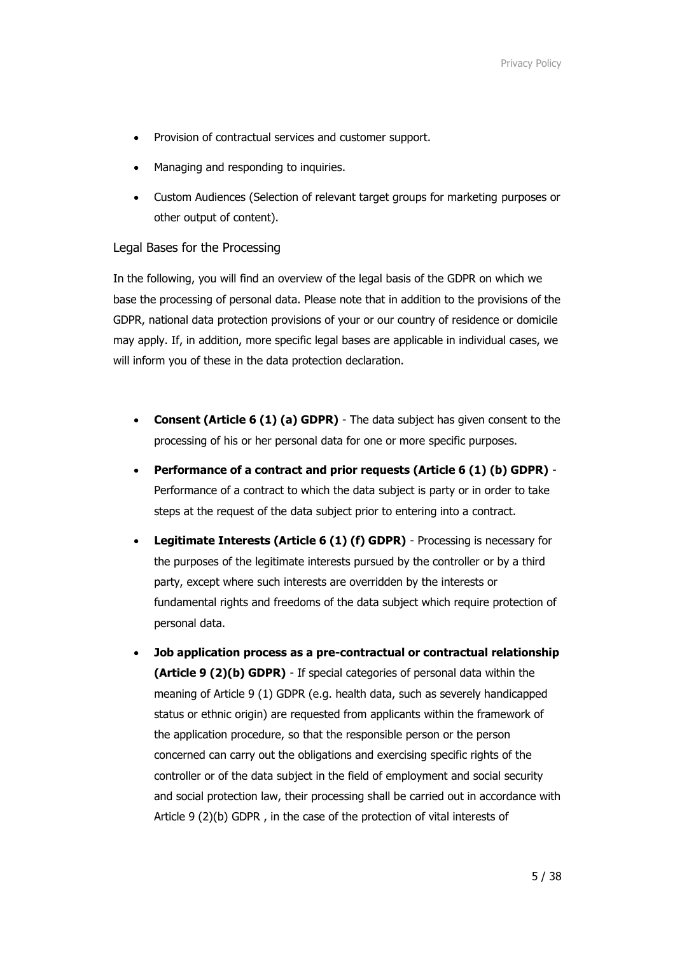- Provision of contractual services and customer support.
- Managing and responding to inquiries.
- Custom Audiences (Selection of relevant target groups for marketing purposes or other output of content).

## Legal Bases for the Processing

In the following, you will find an overview of the legal basis of the GDPR on which we base the processing of personal data. Please note that in addition to the provisions of the GDPR, national data protection provisions of your or our country of residence or domicile may apply. If, in addition, more specific legal bases are applicable in individual cases, we will inform you of these in the data protection declaration.

- **Consent (Article 6 (1) (a) GDPR)** The data subject has given consent to the processing of his or her personal data for one or more specific purposes.
- **Performance of a contract and prior requests (Article 6 (1) (b) GDPR)** Performance of a contract to which the data subject is party or in order to take steps at the request of the data subject prior to entering into a contract.
- **Legitimate Interests (Article 6 (1) (f) GDPR)** Processing is necessary for the purposes of the legitimate interests pursued by the controller or by a third party, except where such interests are overridden by the interests or fundamental rights and freedoms of the data subject which require protection of personal data.
- **Job application process as a pre-contractual or contractual relationship (Article 9 (2)(b) GDPR)** - If special categories of personal data within the meaning of Article 9 (1) GDPR (e.g. health data, such as severely handicapped status or ethnic origin) are requested from applicants within the framework of the application procedure, so that the responsible person or the person concerned can carry out the obligations and exercising specific rights of the controller or of the data subject in the field of employment and social security and social protection law, their processing shall be carried out in accordance with Article 9 (2)(b) GDPR , in the case of the protection of vital interests of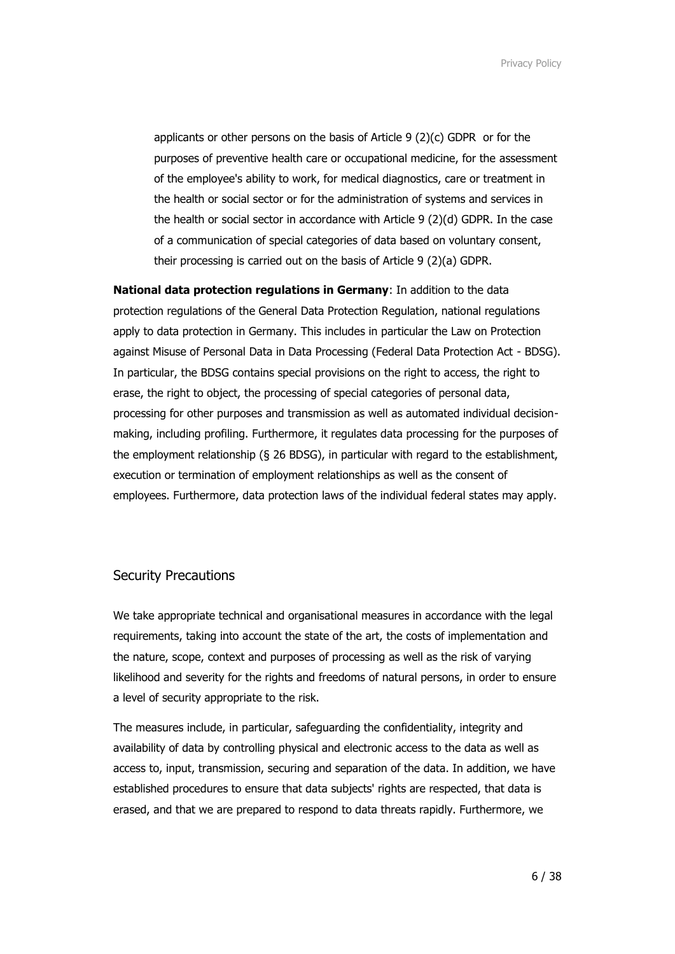applicants or other persons on the basis of Article 9 (2)(c) GDPR or for the purposes of preventive health care or occupational medicine, for the assessment of the employee's ability to work, for medical diagnostics, care or treatment in the health or social sector or for the administration of systems and services in the health or social sector in accordance with Article 9 (2)(d) GDPR. In the case of a communication of special categories of data based on voluntary consent, their processing is carried out on the basis of Article 9 (2)(a) GDPR.

**National data protection regulations in Germany**: In addition to the data protection regulations of the General Data Protection Regulation, national regulations apply to data protection in Germany. This includes in particular the Law on Protection against Misuse of Personal Data in Data Processing (Federal Data Protection Act - BDSG). In particular, the BDSG contains special provisions on the right to access, the right to erase, the right to object, the processing of special categories of personal data, processing for other purposes and transmission as well as automated individual decisionmaking, including profiling. Furthermore, it regulates data processing for the purposes of the employment relationship (§ 26 BDSG), in particular with regard to the establishment, execution or termination of employment relationships as well as the consent of employees. Furthermore, data protection laws of the individual federal states may apply.

#### Security Precautions

We take appropriate technical and organisational measures in accordance with the legal requirements, taking into account the state of the art, the costs of implementation and the nature, scope, context and purposes of processing as well as the risk of varying likelihood and severity for the rights and freedoms of natural persons, in order to ensure a level of security appropriate to the risk.

The measures include, in particular, safeguarding the confidentiality, integrity and availability of data by controlling physical and electronic access to the data as well as access to, input, transmission, securing and separation of the data. In addition, we have established procedures to ensure that data subjects' rights are respected, that data is erased, and that we are prepared to respond to data threats rapidly. Furthermore, we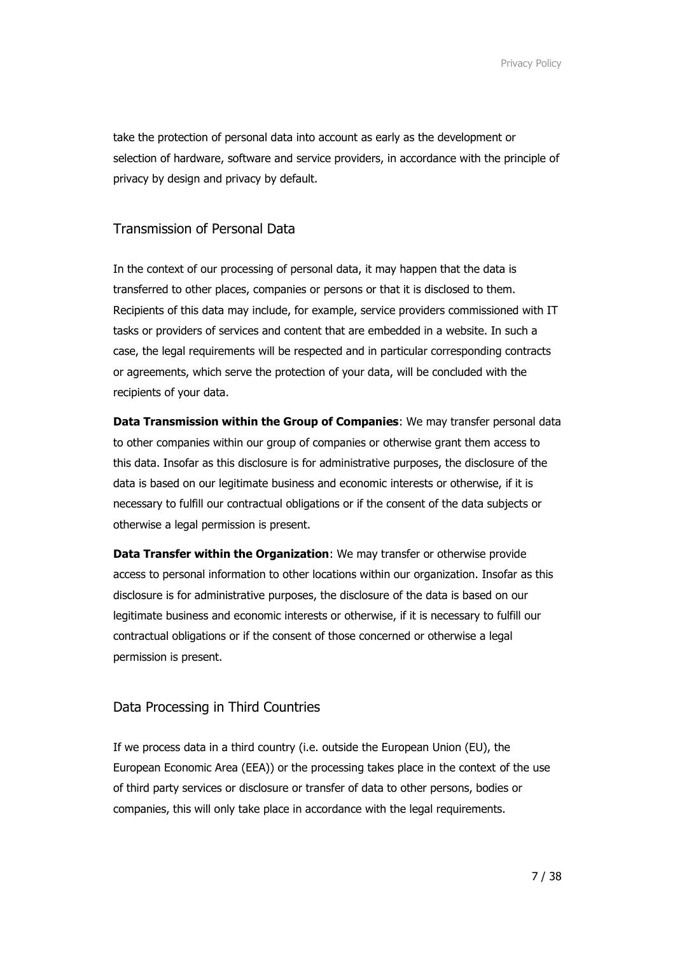take the protection of personal data into account as early as the development or selection of hardware, software and service providers, in accordance with the principle of privacy by design and privacy by default.

## Transmission of Personal Data

In the context of our processing of personal data, it may happen that the data is transferred to other places, companies or persons or that it is disclosed to them. Recipients of this data may include, for example, service providers commissioned with IT tasks or providers of services and content that are embedded in a website. In such a case, the legal requirements will be respected and in particular corresponding contracts or agreements, which serve the protection of your data, will be concluded with the recipients of your data.

**Data Transmission within the Group of Companies**: We may transfer personal data to other companies within our group of companies or otherwise grant them access to this data. Insofar as this disclosure is for administrative purposes, the disclosure of the data is based on our legitimate business and economic interests or otherwise, if it is necessary to fulfill our contractual obligations or if the consent of the data subjects or otherwise a legal permission is present.

**Data Transfer within the Organization**: We may transfer or otherwise provide access to personal information to other locations within our organization. Insofar as this disclosure is for administrative purposes, the disclosure of the data is based on our legitimate business and economic interests or otherwise, if it is necessary to fulfill our contractual obligations or if the consent of those concerned or otherwise a legal permission is present.

## Data Processing in Third Countries

If we process data in a third country (i.e. outside the European Union (EU), the European Economic Area (EEA)) or the processing takes place in the context of the use of third party services or disclosure or transfer of data to other persons, bodies or companies, this will only take place in accordance with the legal requirements.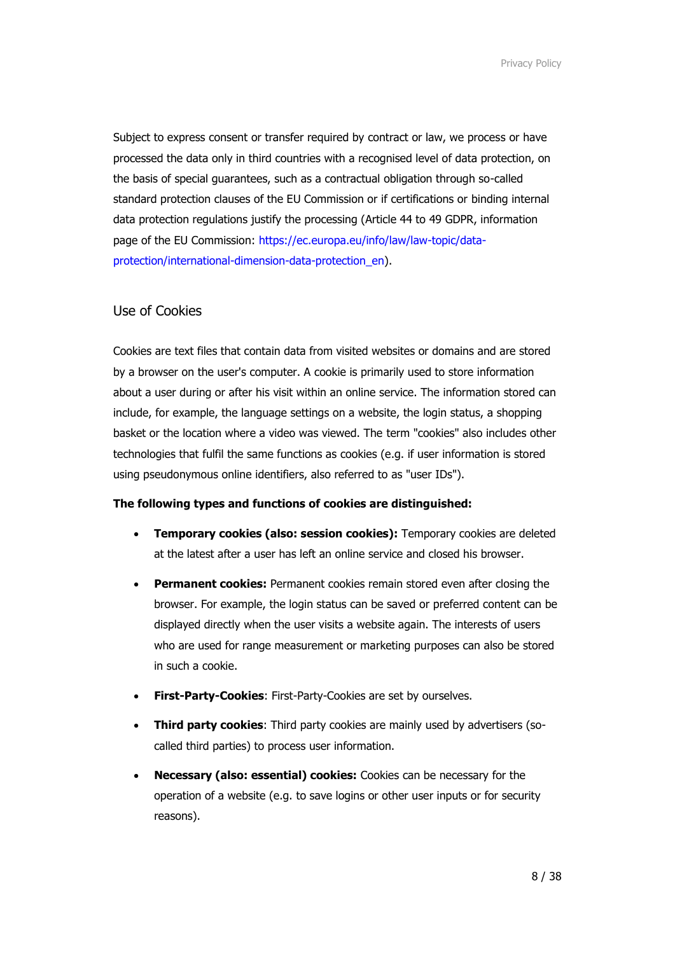Subject to express consent or transfer required by contract or law, we process or have processed the data only in third countries with a recognised level of data protection, on the basis of special guarantees, such as a contractual obligation through so-called standard protection clauses of the EU Commission or if certifications or binding internal data protection regulations justify the processing (Article 44 to 49 GDPR, information page of the EU Commission: [https://ec.europa.eu/info/law/law-topic/data](https://ec.europa.eu/info/law/law-topic/data-protection/international-dimension-data-protection_en)[protection/international-dimension-data-protection\\_en\)](https://ec.europa.eu/info/law/law-topic/data-protection/international-dimension-data-protection_en).

# Use of Cookies

Cookies are text files that contain data from visited websites or domains and are stored by a browser on the user's computer. A cookie is primarily used to store information about a user during or after his visit within an online service. The information stored can include, for example, the language settings on a website, the login status, a shopping basket or the location where a video was viewed. The term "cookies" also includes other technologies that fulfil the same functions as cookies (e.g. if user information is stored using pseudonymous online identifiers, also referred to as "user IDs").

#### **The following types and functions of cookies are distinguished:**

- **Temporary cookies (also: session cookies):** Temporary cookies are deleted at the latest after a user has left an online service and closed his browser.
- **Permanent cookies:** Permanent cookies remain stored even after closing the browser. For example, the login status can be saved or preferred content can be displayed directly when the user visits a website again. The interests of users who are used for range measurement or marketing purposes can also be stored in such a cookie.
- **First-Party-Cookies:** First-Party-Cookies are set by ourselves.
- **Third party cookies**: Third party cookies are mainly used by advertisers (socalled third parties) to process user information.
- **Necessary (also: essential) cookies:** Cookies can be necessary for the operation of a website (e.g. to save logins or other user inputs or for security reasons).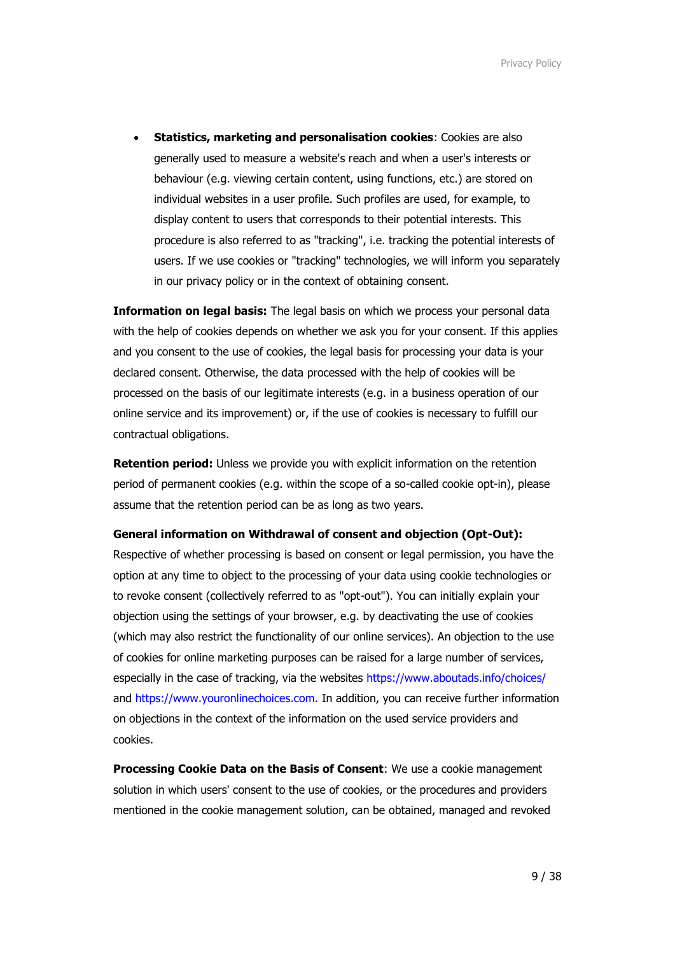• **Statistics, marketing and personalisation cookies**: Cookies are also generally used to measure a website's reach and when a user's interests or behaviour (e.g. viewing certain content, using functions, etc.) are stored on individual websites in a user profile. Such profiles are used, for example, to display content to users that corresponds to their potential interests. This procedure is also referred to as "tracking", i.e. tracking the potential interests of users. If we use cookies or "tracking" technologies, we will inform you separately in our privacy policy or in the context of obtaining consent.

**Information on legal basis:** The legal basis on which we process your personal data with the help of cookies depends on whether we ask you for your consent. If this applies and you consent to the use of cookies, the legal basis for processing your data is your declared consent. Otherwise, the data processed with the help of cookies will be processed on the basis of our legitimate interests (e.g. in a business operation of our online service and its improvement) or, if the use of cookies is necessary to fulfill our contractual obligations.

**Retention period:** Unless we provide you with explicit information on the retention period of permanent cookies (e.g. within the scope of a so-called cookie opt-in), please assume that the retention period can be as long as two years.

#### **General information on Withdrawal of consent and objection (Opt-Out):**

Respective of whether processing is based on consent or legal permission, you have the option at any time to object to the processing of your data using cookie technologies or to revoke consent (collectively referred to as "opt-out"). You can initially explain your objection using the settings of your browser, e.g. by deactivating the use of cookies (which may also restrict the functionality of our online services). An objection to the use of cookies for online marketing purposes can be raised for a large number of services, especially in the case of tracking, via the websites<https://www.aboutads.info/choices/> and [https://www.youronlinechoices.com.](https://www.youronlinechoices.com/) In addition, you can receive further information on objections in the context of the information on the used service providers and cookies.

**Processing Cookie Data on the Basis of Consent**: We use a cookie management solution in which users' consent to the use of cookies, or the procedures and providers mentioned in the cookie management solution, can be obtained, managed and revoked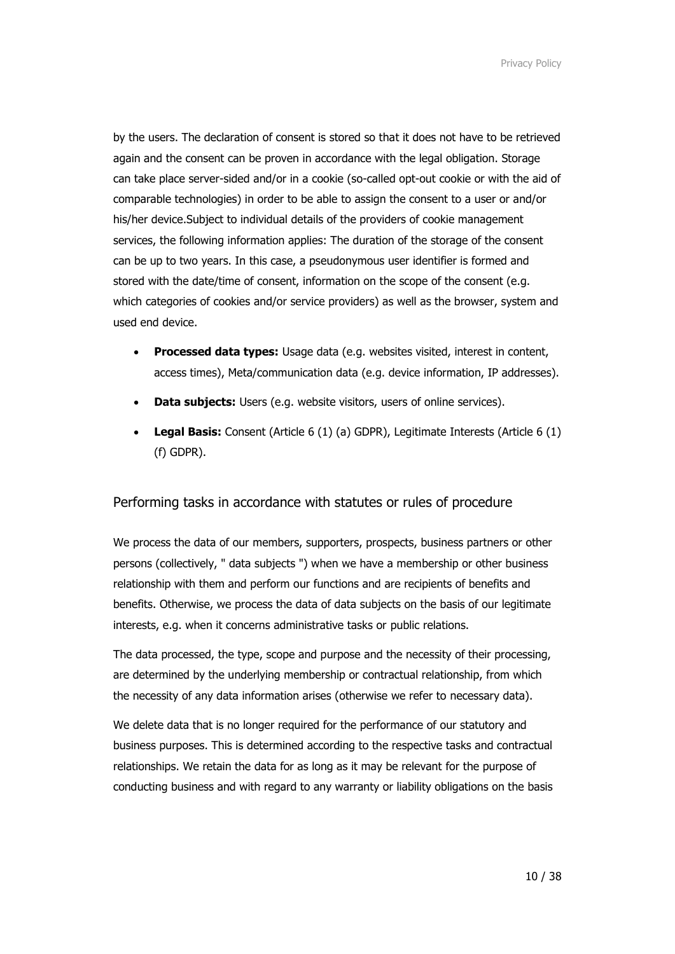by the users. The declaration of consent is stored so that it does not have to be retrieved again and the consent can be proven in accordance with the legal obligation. Storage can take place server-sided and/or in a cookie (so-called opt-out cookie or with the aid of comparable technologies) in order to be able to assign the consent to a user or and/or his/her device.Subject to individual details of the providers of cookie management services, the following information applies: The duration of the storage of the consent can be up to two years. In this case, a pseudonymous user identifier is formed and stored with the date/time of consent, information on the scope of the consent (e.g. which categories of cookies and/or service providers) as well as the browser, system and used end device.

- **Processed data types:** Usage data (e.g. websites visited, interest in content, access times), Meta/communication data (e.g. device information, IP addresses).
- **Data subjects:** Users (e.g. website visitors, users of online services).
- **Legal Basis:** Consent (Article 6 (1) (a) GDPR), Legitimate Interests (Article 6 (1) (f) GDPR).

# Performing tasks in accordance with statutes or rules of procedure

We process the data of our members, supporters, prospects, business partners or other persons (collectively, " data subjects ") when we have a membership or other business relationship with them and perform our functions and are recipients of benefits and benefits. Otherwise, we process the data of data subjects on the basis of our legitimate interests, e.g. when it concerns administrative tasks or public relations.

The data processed, the type, scope and purpose and the necessity of their processing, are determined by the underlying membership or contractual relationship, from which the necessity of any data information arises (otherwise we refer to necessary data).

We delete data that is no longer required for the performance of our statutory and business purposes. This is determined according to the respective tasks and contractual relationships. We retain the data for as long as it may be relevant for the purpose of conducting business and with regard to any warranty or liability obligations on the basis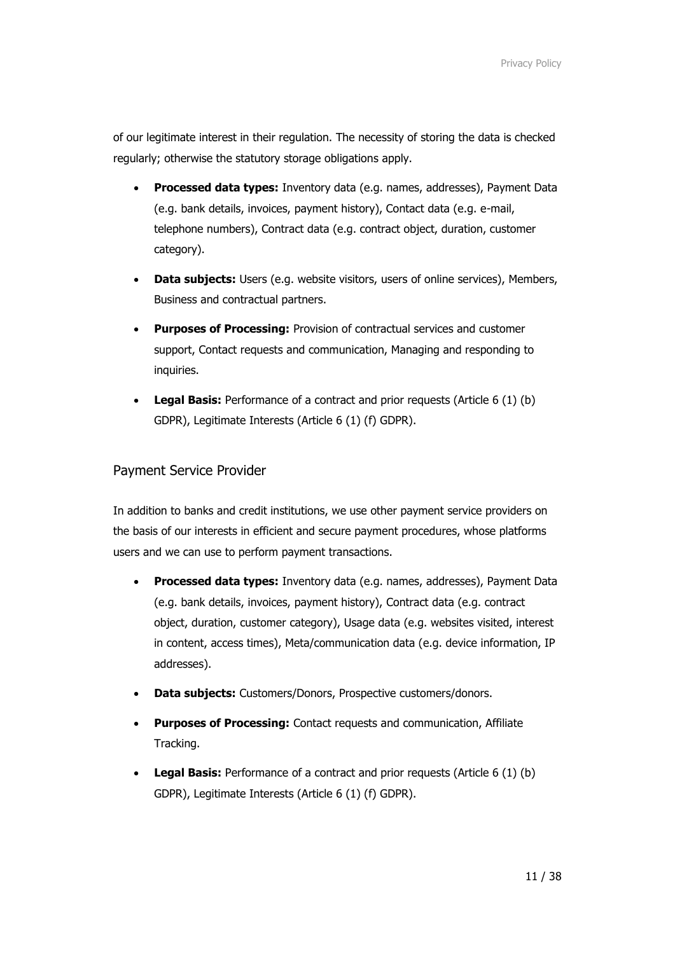of our legitimate interest in their regulation. The necessity of storing the data is checked regularly; otherwise the statutory storage obligations apply.

- **Processed data types:** Inventory data (e.g. names, addresses), Payment Data (e.g. bank details, invoices, payment history), Contact data (e.g. e-mail, telephone numbers), Contract data (e.g. contract object, duration, customer category).
- **Data subjects:** Users (e.g. website visitors, users of online services), Members, Business and contractual partners.
- **Purposes of Processing:** Provision of contractual services and customer support, Contact requests and communication, Managing and responding to inquiries.
- **Legal Basis:** Performance of a contract and prior requests (Article 6 (1) (b) GDPR), Legitimate Interests (Article 6 (1) (f) GDPR).

## Payment Service Provider

In addition to banks and credit institutions, we use other payment service providers on the basis of our interests in efficient and secure payment procedures, whose platforms users and we can use to perform payment transactions.

- **Processed data types:** Inventory data (e.g. names, addresses), Payment Data (e.g. bank details, invoices, payment history), Contract data (e.g. contract object, duration, customer category), Usage data (e.g. websites visited, interest in content, access times), Meta/communication data (e.g. device information, IP addresses).
- **Data subjects:** Customers/Donors, Prospective customers/donors.
- **Purposes of Processing:** Contact requests and communication, Affiliate Tracking.
- **Legal Basis:** Performance of a contract and prior requests (Article 6 (1) (b) GDPR), Legitimate Interests (Article 6 (1) (f) GDPR).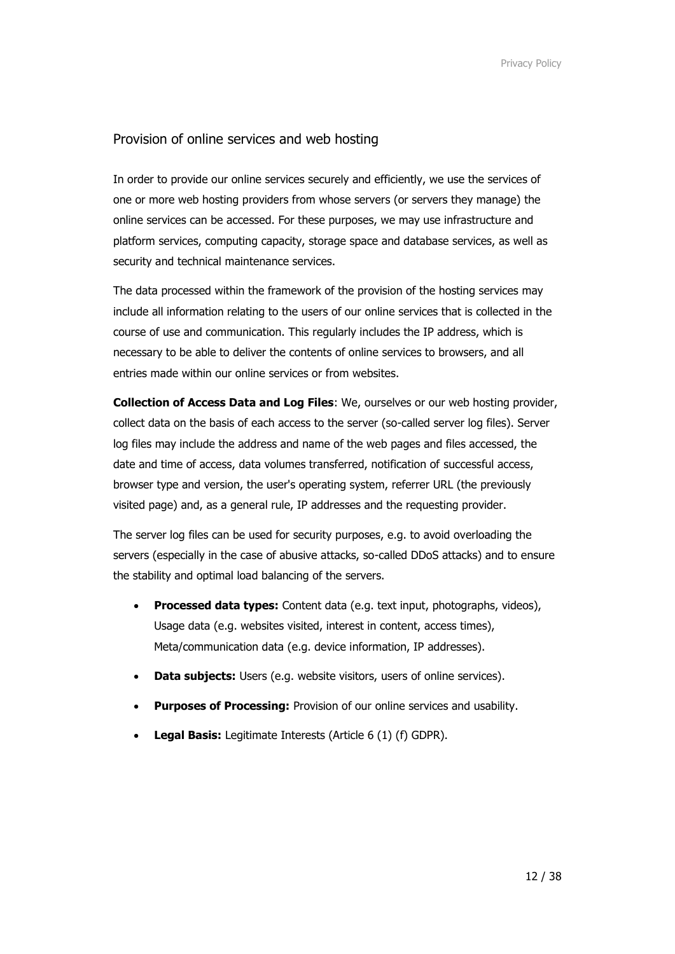## Provision of online services and web hosting

In order to provide our online services securely and efficiently, we use the services of one or more web hosting providers from whose servers (or servers they manage) the online services can be accessed. For these purposes, we may use infrastructure and platform services, computing capacity, storage space and database services, as well as security and technical maintenance services.

The data processed within the framework of the provision of the hosting services may include all information relating to the users of our online services that is collected in the course of use and communication. This regularly includes the IP address, which is necessary to be able to deliver the contents of online services to browsers, and all entries made within our online services or from websites.

**Collection of Access Data and Log Files**: We, ourselves or our web hosting provider, collect data on the basis of each access to the server (so-called server log files). Server log files may include the address and name of the web pages and files accessed, the date and time of access, data volumes transferred, notification of successful access, browser type and version, the user's operating system, referrer URL (the previously visited page) and, as a general rule, IP addresses and the requesting provider.

The server log files can be used for security purposes, e.g. to avoid overloading the servers (especially in the case of abusive attacks, so-called DDoS attacks) and to ensure the stability and optimal load balancing of the servers.

- **Processed data types:** Content data (e.g. text input, photographs, videos), Usage data (e.g. websites visited, interest in content, access times), Meta/communication data (e.g. device information, IP addresses).
- **Data subjects:** Users (e.g. website visitors, users of online services).
- **Purposes of Processing:** Provision of our online services and usability.
- **Legal Basis:** Legitimate Interests (Article 6 (1) (f) GDPR).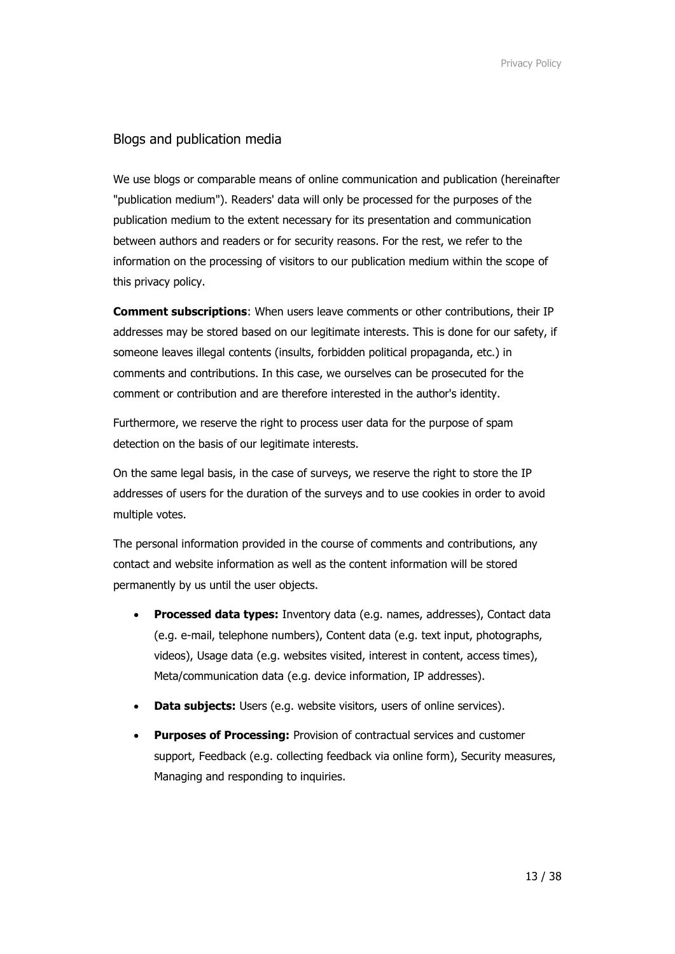## Blogs and publication media

We use blogs or comparable means of online communication and publication (hereinafter "publication medium"). Readers' data will only be processed for the purposes of the publication medium to the extent necessary for its presentation and communication between authors and readers or for security reasons. For the rest, we refer to the information on the processing of visitors to our publication medium within the scope of this privacy policy.

**Comment subscriptions**: When users leave comments or other contributions, their IP addresses may be stored based on our legitimate interests. This is done for our safety, if someone leaves illegal contents (insults, forbidden political propaganda, etc.) in comments and contributions. In this case, we ourselves can be prosecuted for the comment or contribution and are therefore interested in the author's identity.

Furthermore, we reserve the right to process user data for the purpose of spam detection on the basis of our legitimate interests.

On the same legal basis, in the case of surveys, we reserve the right to store the IP addresses of users for the duration of the surveys and to use cookies in order to avoid multiple votes.

The personal information provided in the course of comments and contributions, any contact and website information as well as the content information will be stored permanently by us until the user objects.

- **Processed data types:** Inventory data (e.g. names, addresses), Contact data (e.g. e-mail, telephone numbers), Content data (e.g. text input, photographs, videos), Usage data (e.g. websites visited, interest in content, access times), Meta/communication data (e.g. device information, IP addresses).
- **Data subjects:** Users (e.g. website visitors, users of online services).
- **Purposes of Processing:** Provision of contractual services and customer support, Feedback (e.g. collecting feedback via online form), Security measures, Managing and responding to inquiries.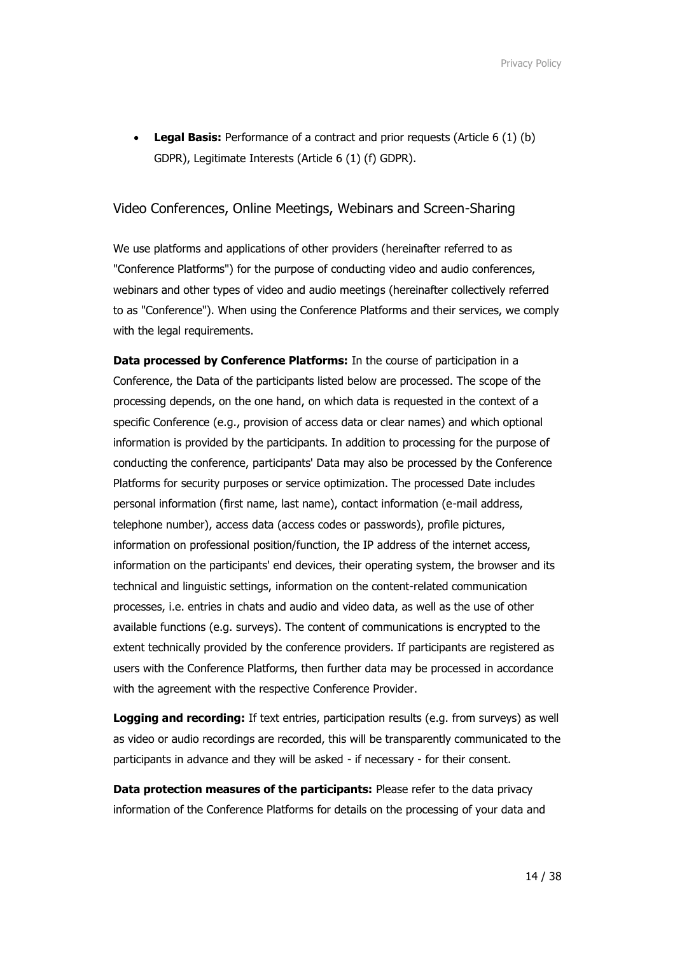• **Legal Basis:** Performance of a contract and prior requests (Article 6 (1) (b) GDPR), Legitimate Interests (Article 6 (1) (f) GDPR).

## Video Conferences, Online Meetings, Webinars and Screen-Sharing

We use platforms and applications of other providers (hereinafter referred to as "Conference Platforms") for the purpose of conducting video and audio conferences, webinars and other types of video and audio meetings (hereinafter collectively referred to as "Conference"). When using the Conference Platforms and their services, we comply with the legal requirements.

**Data processed by Conference Platforms:** In the course of participation in a Conference, the Data of the participants listed below are processed. The scope of the processing depends, on the one hand, on which data is requested in the context of a specific Conference (e.g., provision of access data or clear names) and which optional information is provided by the participants. In addition to processing for the purpose of conducting the conference, participants' Data may also be processed by the Conference Platforms for security purposes or service optimization. The processed Date includes personal information (first name, last name), contact information (e-mail address, telephone number), access data (access codes or passwords), profile pictures, information on professional position/function, the IP address of the internet access, information on the participants' end devices, their operating system, the browser and its technical and linguistic settings, information on the content-related communication processes, i.e. entries in chats and audio and video data, as well as the use of other available functions (e.g. surveys). The content of communications is encrypted to the extent technically provided by the conference providers. If participants are registered as users with the Conference Platforms, then further data may be processed in accordance with the agreement with the respective Conference Provider.

**Logging and recording:** If text entries, participation results (e.g. from surveys) as well as video or audio recordings are recorded, this will be transparently communicated to the participants in advance and they will be asked - if necessary - for their consent.

**Data protection measures of the participants:** Please refer to the data privacy information of the Conference Platforms for details on the processing of your data and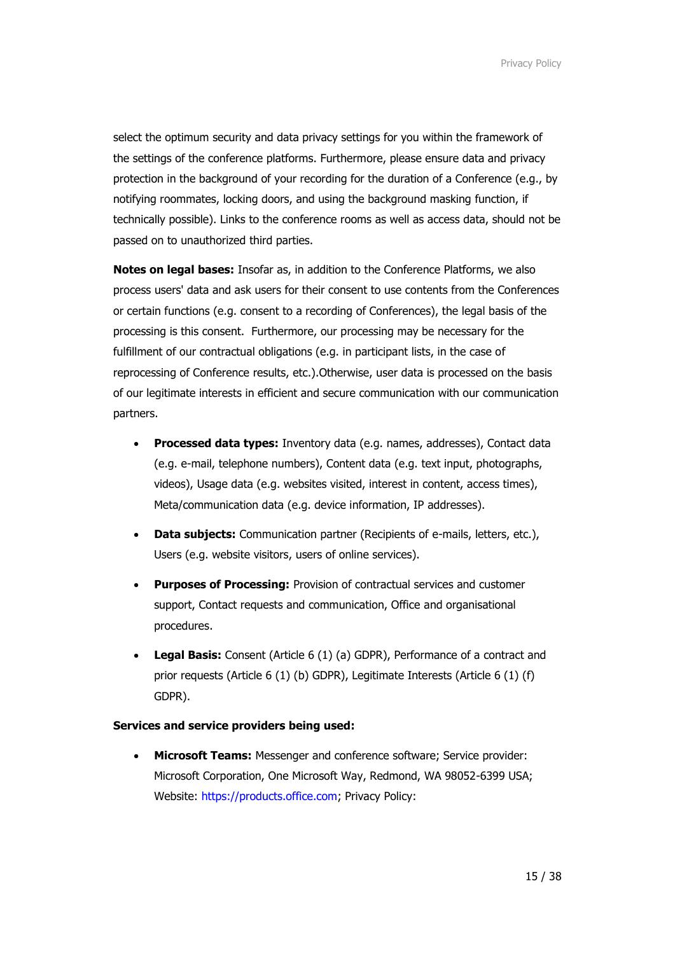select the optimum security and data privacy settings for you within the framework of the settings of the conference platforms. Furthermore, please ensure data and privacy protection in the background of your recording for the duration of a Conference (e.g., by notifying roommates, locking doors, and using the background masking function, if technically possible). Links to the conference rooms as well as access data, should not be passed on to unauthorized third parties.

**Notes on legal bases:** Insofar as, in addition to the Conference Platforms, we also process users' data and ask users for their consent to use contents from the Conferences or certain functions (e.g. consent to a recording of Conferences), the legal basis of the processing is this consent. Furthermore, our processing may be necessary for the fulfillment of our contractual obligations (e.g. in participant lists, in the case of reprocessing of Conference results, etc.).Otherwise, user data is processed on the basis of our legitimate interests in efficient and secure communication with our communication partners.

- **Processed data types:** Inventory data (e.g. names, addresses), Contact data (e.g. e-mail, telephone numbers), Content data (e.g. text input, photographs, videos), Usage data (e.g. websites visited, interest in content, access times), Meta/communication data (e.g. device information, IP addresses).
- **Data subjects:** Communication partner (Recipients of e-mails, letters, etc.), Users (e.g. website visitors, users of online services).
- **Purposes of Processing:** Provision of contractual services and customer support, Contact requests and communication, Office and organisational procedures.
- **Legal Basis:** Consent (Article 6 (1) (a) GDPR), Performance of a contract and prior requests (Article 6 (1) (b) GDPR), Legitimate Interests (Article 6 (1) (f) GDPR).

## **Services and service providers being used:**

• **Microsoft Teams:** Messenger and conference software; Service provider: Microsoft Corporation, One Microsoft Way, Redmond, WA 98052-6399 USA; Website: [https://products.office.com;](https://products.office.com/) Privacy Policy: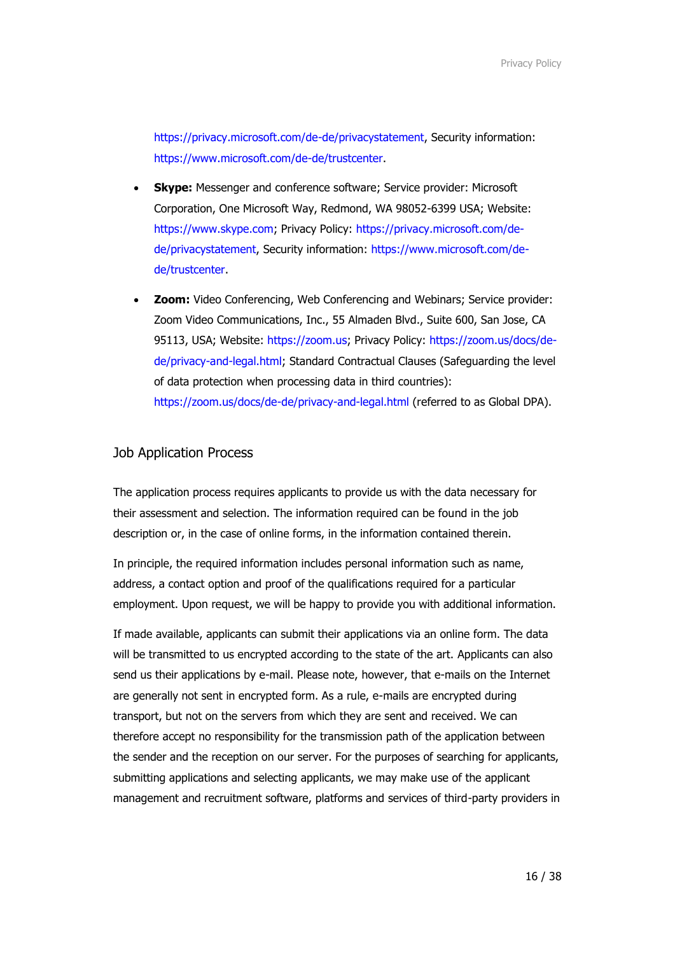[https://privacy.microsoft.com/de-de/privacystatement,](https://privacy.microsoft.com/de-de/privacystatement) Security information: [https://www.microsoft.com/de-de/trustcenter.](https://www.microsoft.com/de-de/trustcenter)

- **Skype:** Messenger and conference software; Service provider: Microsoft Corporation, One Microsoft Way, Redmond, WA 98052-6399 USA; Website: [https://www.skype.com;](https://www.skype.com/) Privacy Policy: [https://privacy.microsoft.com/de](https://privacy.microsoft.com/de-de/privacystatement)[de/privacystatement,](https://privacy.microsoft.com/de-de/privacystatement) Security information: [https://www.microsoft.com/de](https://www.microsoft.com/de-de/trustcenter)[de/trustcenter.](https://www.microsoft.com/de-de/trustcenter)
- **Zoom:** Video Conferencing, Web Conferencing and Webinars; Service provider: Zoom Video Communications, Inc., 55 Almaden Blvd., Suite 600, San Jose, CA 95113, USA; Website: [https://zoom.us;](https://zoom.us/) Privacy Policy: [https://zoom.us/docs/de](https://zoom.us/docs/de-de/privacy-and-legal.html)[de/privacy-and-legal.html;](https://zoom.us/docs/de-de/privacy-and-legal.html) Standard Contractual Clauses (Safeguarding the level of data protection when processing data in third countries): <https://zoom.us/docs/de-de/privacy-and-legal.html> (referred to as Global DPA).

## Job Application Process

The application process requires applicants to provide us with the data necessary for their assessment and selection. The information required can be found in the job description or, in the case of online forms, in the information contained therein.

In principle, the required information includes personal information such as name, address, a contact option and proof of the qualifications required for a particular employment. Upon request, we will be happy to provide you with additional information.

If made available, applicants can submit their applications via an online form. The data will be transmitted to us encrypted according to the state of the art. Applicants can also send us their applications by e-mail. Please note, however, that e-mails on the Internet are generally not sent in encrypted form. As a rule, e-mails are encrypted during transport, but not on the servers from which they are sent and received. We can therefore accept no responsibility for the transmission path of the application between the sender and the reception on our server. For the purposes of searching for applicants, submitting applications and selecting applicants, we may make use of the applicant management and recruitment software, platforms and services of third-party providers in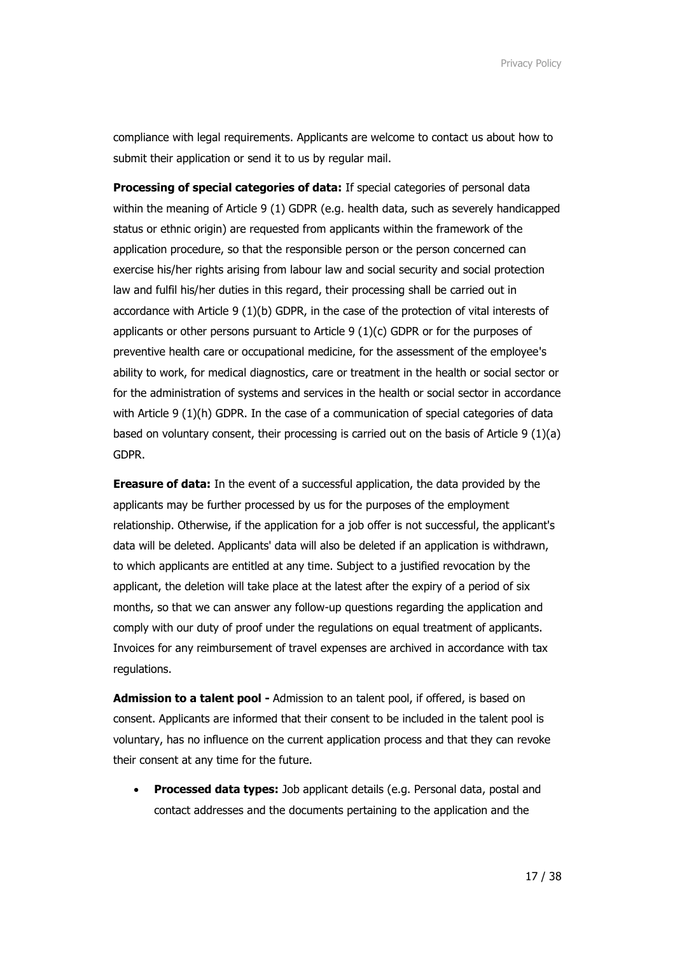compliance with legal requirements. Applicants are welcome to contact us about how to submit their application or send it to us by regular mail.

**Processing of special categories of data:** If special categories of personal data within the meaning of Article 9 (1) GDPR (e.g. health data, such as severely handicapped status or ethnic origin) are requested from applicants within the framework of the application procedure, so that the responsible person or the person concerned can exercise his/her rights arising from labour law and social security and social protection law and fulfil his/her duties in this regard, their processing shall be carried out in accordance with Article 9 (1)(b) GDPR, in the case of the protection of vital interests of applicants or other persons pursuant to Article 9 (1)(c) GDPR or for the purposes of preventive health care or occupational medicine, for the assessment of the employee's ability to work, for medical diagnostics, care or treatment in the health or social sector or for the administration of systems and services in the health or social sector in accordance with Article 9 (1)(h) GDPR. In the case of a communication of special categories of data based on voluntary consent, their processing is carried out on the basis of Article 9 (1)(a) GDPR.

**Ereasure of data:** In the event of a successful application, the data provided by the applicants may be further processed by us for the purposes of the employment relationship. Otherwise, if the application for a job offer is not successful, the applicant's data will be deleted. Applicants' data will also be deleted if an application is withdrawn, to which applicants are entitled at any time. Subject to a justified revocation by the applicant, the deletion will take place at the latest after the expiry of a period of six months, so that we can answer any follow-up questions regarding the application and comply with our duty of proof under the regulations on equal treatment of applicants. Invoices for any reimbursement of travel expenses are archived in accordance with tax regulations.

**Admission to a talent pool -** Admission to an talent pool, if offered, is based on consent. Applicants are informed that their consent to be included in the talent pool is voluntary, has no influence on the current application process and that they can revoke their consent at any time for the future.

• **Processed data types:** Job applicant details (e.g. Personal data, postal and contact addresses and the documents pertaining to the application and the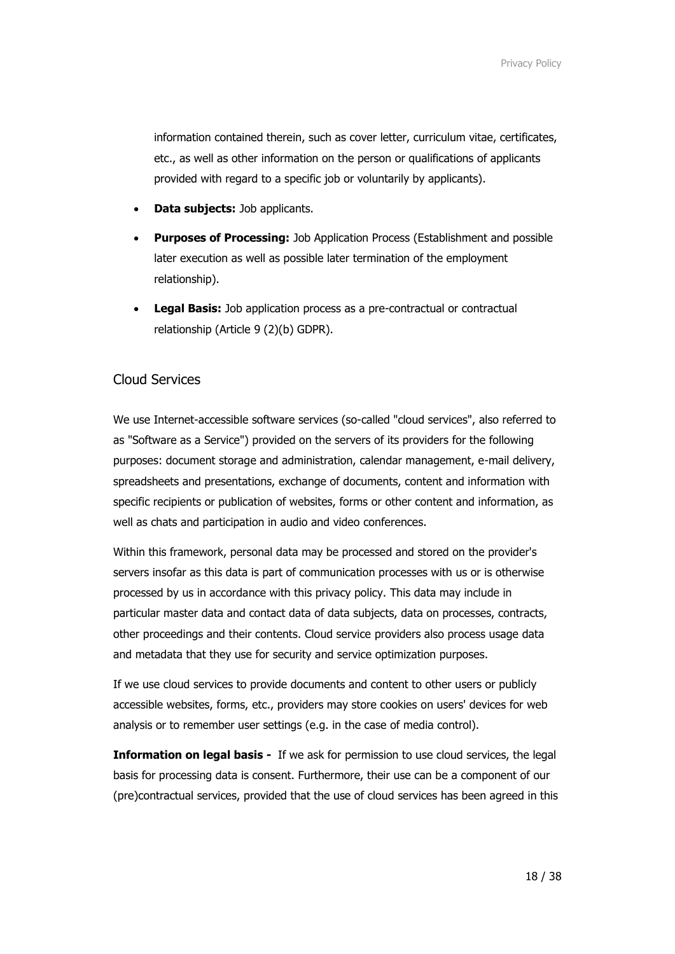information contained therein, such as cover letter, curriculum vitae, certificates, etc., as well as other information on the person or qualifications of applicants provided with regard to a specific job or voluntarily by applicants).

- **Data subjects:** Job applicants.
- **Purposes of Processing:** Job Application Process (Establishment and possible later execution as well as possible later termination of the employment relationship).
- **Legal Basis:** Job application process as a pre-contractual or contractual relationship (Article 9 (2)(b) GDPR).

## Cloud Services

We use Internet-accessible software services (so-called "cloud services", also referred to as "Software as a Service") provided on the servers of its providers for the following purposes: document storage and administration, calendar management, e-mail delivery, spreadsheets and presentations, exchange of documents, content and information with specific recipients or publication of websites, forms or other content and information, as well as chats and participation in audio and video conferences.

Within this framework, personal data may be processed and stored on the provider's servers insofar as this data is part of communication processes with us or is otherwise processed by us in accordance with this privacy policy. This data may include in particular master data and contact data of data subjects, data on processes, contracts, other proceedings and their contents. Cloud service providers also process usage data and metadata that they use for security and service optimization purposes.

If we use cloud services to provide documents and content to other users or publicly accessible websites, forms, etc., providers may store cookies on users' devices for web analysis or to remember user settings (e.g. in the case of media control).

**Information on legal basis -** If we ask for permission to use cloud services, the legal basis for processing data is consent. Furthermore, their use can be a component of our (pre)contractual services, provided that the use of cloud services has been agreed in this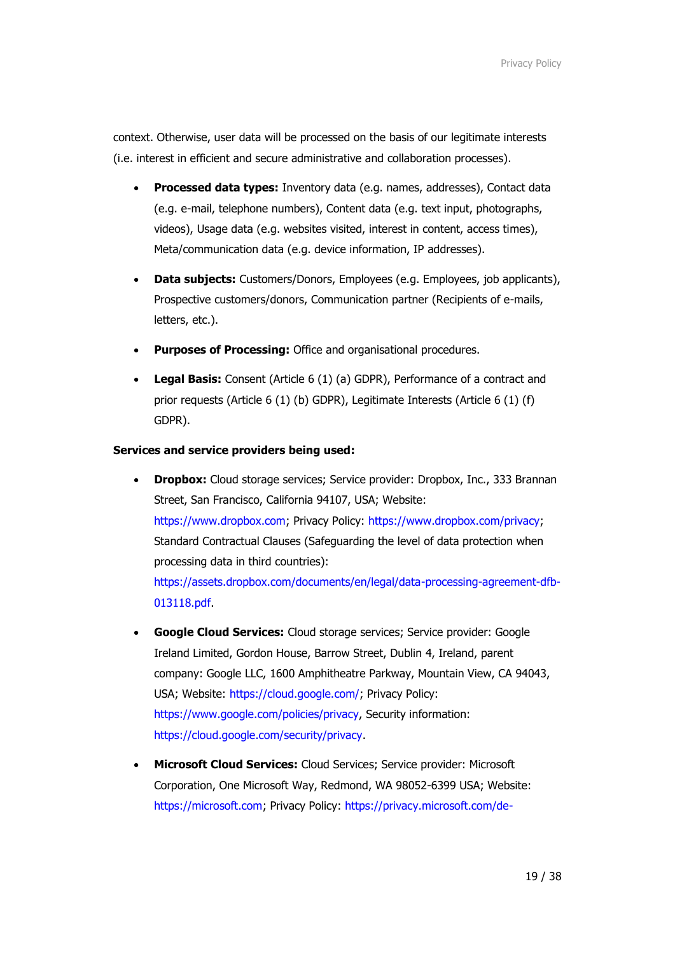context. Otherwise, user data will be processed on the basis of our legitimate interests (i.e. interest in efficient and secure administrative and collaboration processes).

- **Processed data types:** Inventory data (e.g. names, addresses), Contact data (e.g. e-mail, telephone numbers), Content data (e.g. text input, photographs, videos), Usage data (e.g. websites visited, interest in content, access times), Meta/communication data (e.g. device information, IP addresses).
- **Data subjects:** Customers/Donors, Employees (e.g. Employees, job applicants), Prospective customers/donors, Communication partner (Recipients of e-mails, letters, etc.).
- **Purposes of Processing:** Office and organisational procedures.
- **Legal Basis:** Consent (Article 6 (1) (a) GDPR), Performance of a contract and prior requests (Article 6 (1) (b) GDPR), Legitimate Interests (Article 6 (1) (f) GDPR).

#### **Services and service providers being used:**

- **Dropbox:** Cloud storage services; Service provider: Dropbox, Inc., 333 Brannan Street, San Francisco, California 94107, USA; Website: [https://www.dropbox.com;](https://www.dropbox.com/) Privacy Policy: [https://www.dropbox.com/privacy;](https://www.dropbox.com/privacy) Standard Contractual Clauses (Safeguarding the level of data protection when processing data in third countries): [https://assets.dropbox.com/documents/en/legal/data-processing-agreement-dfb-](https://assets.dropbox.com/documents/en/legal/data-processing-agreement-dfb-013118.pdf)[013118.pdf.](https://assets.dropbox.com/documents/en/legal/data-processing-agreement-dfb-013118.pdf)
- **Google Cloud Services:** Cloud storage services; Service provider: Google Ireland Limited, Gordon House, Barrow Street, Dublin 4, Ireland, parent company: Google LLC, 1600 Amphitheatre Parkway, Mountain View, CA 94043, USA; Website: [https://cloud.google.com/;](https://cloud.google.com/) Privacy Policy: [https://www.google.com/policies/privacy,](https://www.google.com/policies/privacy) Security information: [https://cloud.google.com/security/privacy.](https://cloud.google.com/security/privacy)
- **Microsoft Cloud Services:** Cloud Services; Service provider: Microsoft Corporation, One Microsoft Way, Redmond, WA 98052-6399 USA; Website: [https://microsoft.com;](https://microsoft.com/) Privacy Policy: [https://privacy.microsoft.com/de-](https://privacy.microsoft.com/de-de/privacystatement)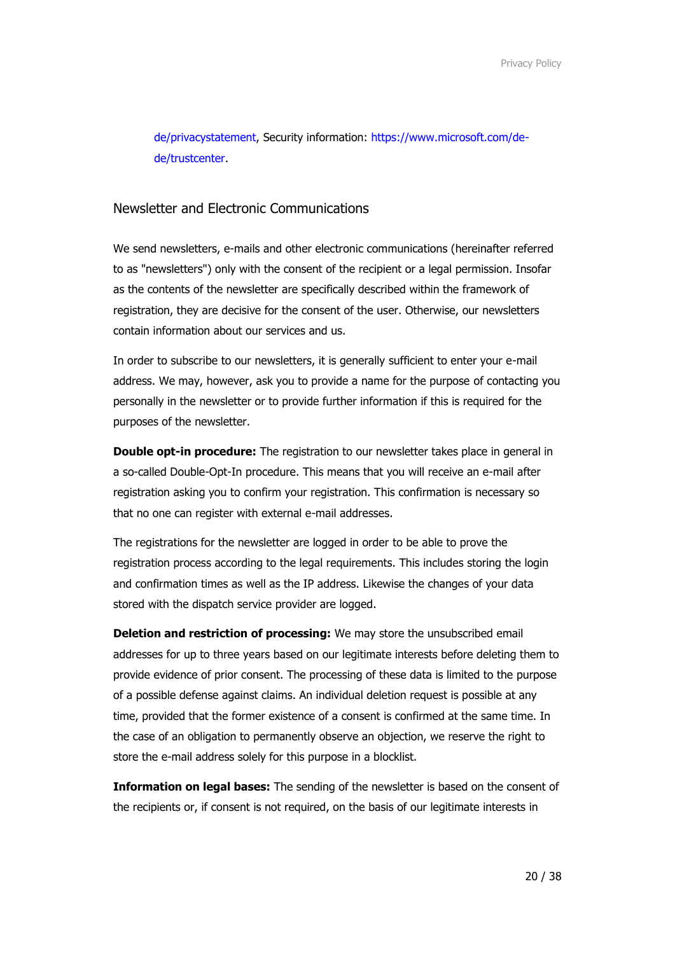[de/privacystatement,](https://privacy.microsoft.com/de-de/privacystatement) Security information: [https://www.microsoft.com/de](https://www.microsoft.com/de-de/trustcenter)[de/trustcenter.](https://www.microsoft.com/de-de/trustcenter)

## Newsletter and Electronic Communications

We send newsletters, e-mails and other electronic communications (hereinafter referred to as "newsletters") only with the consent of the recipient or a legal permission. Insofar as the contents of the newsletter are specifically described within the framework of registration, they are decisive for the consent of the user. Otherwise, our newsletters contain information about our services and us.

In order to subscribe to our newsletters, it is generally sufficient to enter your e-mail address. We may, however, ask you to provide a name for the purpose of contacting you personally in the newsletter or to provide further information if this is required for the purposes of the newsletter.

**Double opt-in procedure:** The registration to our newsletter takes place in general in a so-called Double-Opt-In procedure. This means that you will receive an e-mail after registration asking you to confirm your registration. This confirmation is necessary so that no one can register with external e-mail addresses.

The registrations for the newsletter are logged in order to be able to prove the registration process according to the legal requirements. This includes storing the login and confirmation times as well as the IP address. Likewise the changes of your data stored with the dispatch service provider are logged.

**Deletion and restriction of processing:** We may store the unsubscribed email addresses for up to three years based on our legitimate interests before deleting them to provide evidence of prior consent. The processing of these data is limited to the purpose of a possible defense against claims. An individual deletion request is possible at any time, provided that the former existence of a consent is confirmed at the same time. In the case of an obligation to permanently observe an objection, we reserve the right to store the e-mail address solely for this purpose in a blocklist.

**Information on legal bases:** The sending of the newsletter is based on the consent of the recipients or, if consent is not required, on the basis of our legitimate interests in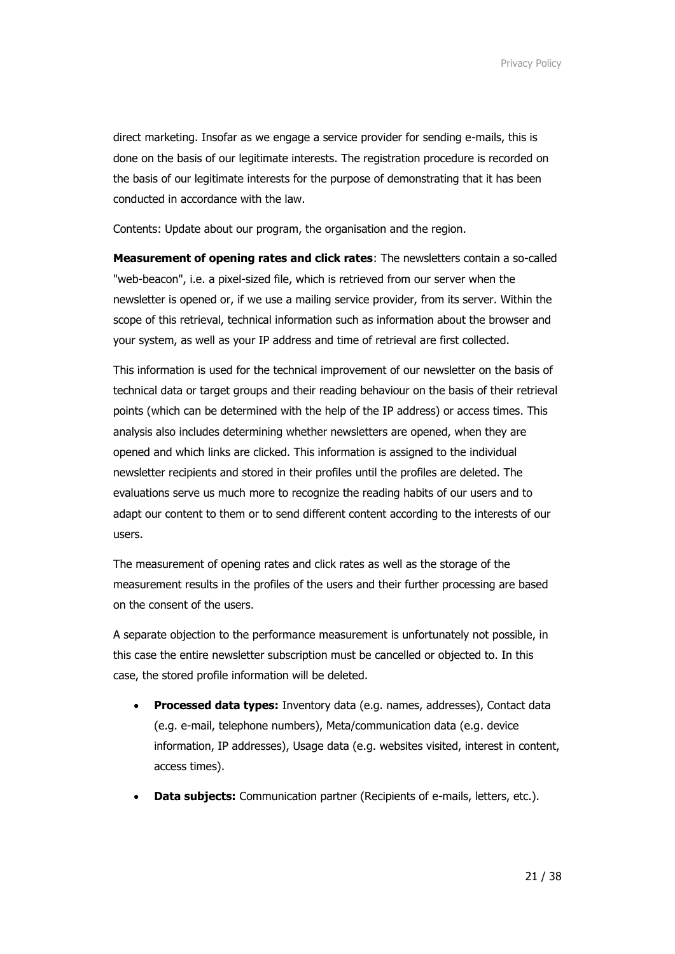direct marketing. Insofar as we engage a service provider for sending e-mails, this is done on the basis of our legitimate interests. The registration procedure is recorded on the basis of our legitimate interests for the purpose of demonstrating that it has been conducted in accordance with the law.

Contents: Update about our program, the organisation and the region.

**Measurement of opening rates and click rates**: The newsletters contain a so-called "web-beacon", i.e. a pixel-sized file, which is retrieved from our server when the newsletter is opened or, if we use a mailing service provider, from its server. Within the scope of this retrieval, technical information such as information about the browser and your system, as well as your IP address and time of retrieval are first collected.

This information is used for the technical improvement of our newsletter on the basis of technical data or target groups and their reading behaviour on the basis of their retrieval points (which can be determined with the help of the IP address) or access times. This analysis also includes determining whether newsletters are opened, when they are opened and which links are clicked. This information is assigned to the individual newsletter recipients and stored in their profiles until the profiles are deleted. The evaluations serve us much more to recognize the reading habits of our users and to adapt our content to them or to send different content according to the interests of our users.

The measurement of opening rates and click rates as well as the storage of the measurement results in the profiles of the users and their further processing are based on the consent of the users.

A separate objection to the performance measurement is unfortunately not possible, in this case the entire newsletter subscription must be cancelled or objected to. In this case, the stored profile information will be deleted.

- **Processed data types:** Inventory data (e.g. names, addresses), Contact data (e.g. e-mail, telephone numbers), Meta/communication data (e.g. device information, IP addresses), Usage data (e.g. websites visited, interest in content, access times).
- **Data subjects:** Communication partner (Recipients of e-mails, letters, etc.).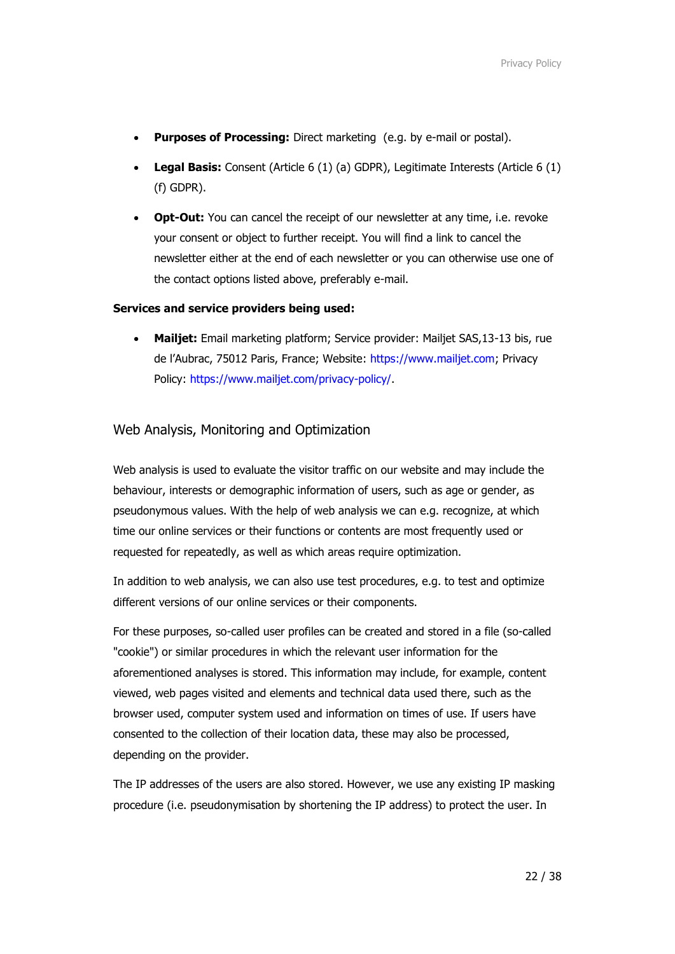- **Purposes of Processing:** Direct marketing (e.g. by e-mail or postal).
- **Legal Basis:** Consent (Article 6 (1) (a) GDPR), Legitimate Interests (Article 6 (1) (f) GDPR).
- **Opt-Out:** You can cancel the receipt of our newsletter at any time, i.e. revoke your consent or object to further receipt. You will find a link to cancel the newsletter either at the end of each newsletter or you can otherwise use one of the contact options listed above, preferably e-mail.

#### **Services and service providers being used:**

• **Mailjet:** Email marketing platform; Service provider: Mailjet SAS,13-13 bis, rue de l'Aubrac, 75012 Paris, France; Website: [https://www.mailjet.com;](https://www.mailjet.com/) Privacy Policy: [https://www.mailjet.com/privacy-policy/.](https://www.mailjet.com/privacy-policy/)

## Web Analysis, Monitoring and Optimization

Web analysis is used to evaluate the visitor traffic on our website and may include the behaviour, interests or demographic information of users, such as age or gender, as pseudonymous values. With the help of web analysis we can e.g. recognize, at which time our online services or their functions or contents are most frequently used or requested for repeatedly, as well as which areas require optimization.

In addition to web analysis, we can also use test procedures, e.g. to test and optimize different versions of our online services or their components.

For these purposes, so-called user profiles can be created and stored in a file (so-called "cookie") or similar procedures in which the relevant user information for the aforementioned analyses is stored. This information may include, for example, content viewed, web pages visited and elements and technical data used there, such as the browser used, computer system used and information on times of use. If users have consented to the collection of their location data, these may also be processed, depending on the provider.

The IP addresses of the users are also stored. However, we use any existing IP masking procedure (i.e. pseudonymisation by shortening the IP address) to protect the user. In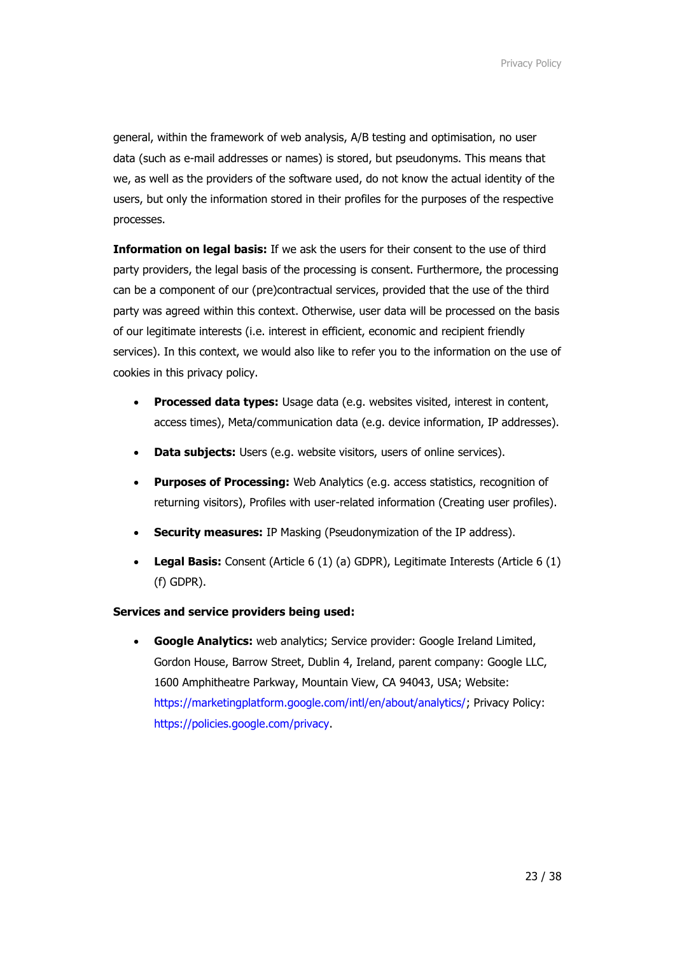general, within the framework of web analysis, A/B testing and optimisation, no user data (such as e-mail addresses or names) is stored, but pseudonyms. This means that we, as well as the providers of the software used, do not know the actual identity of the users, but only the information stored in their profiles for the purposes of the respective processes.

**Information on legal basis:** If we ask the users for their consent to the use of third party providers, the legal basis of the processing is consent. Furthermore, the processing can be a component of our (pre)contractual services, provided that the use of the third party was agreed within this context. Otherwise, user data will be processed on the basis of our legitimate interests (i.e. interest in efficient, economic and recipient friendly services). In this context, we would also like to refer you to the information on the use of cookies in this privacy policy.

- **Processed data types:** Usage data (e.g. websites visited, interest in content, access times), Meta/communication data (e.g. device information, IP addresses).
- **Data subjects:** Users (e.g. website visitors, users of online services).
- **Purposes of Processing:** Web Analytics (e.g. access statistics, recognition of returning visitors), Profiles with user-related information (Creating user profiles).
- **Security measures:** IP Masking (Pseudonymization of the IP address).
- **Legal Basis:** Consent (Article 6 (1) (a) GDPR), Legitimate Interests (Article 6 (1) (f) GDPR).

## **Services and service providers being used:**

• **Google Analytics:** web analytics; Service provider: Google Ireland Limited, Gordon House, Barrow Street, Dublin 4, Ireland, parent company: Google LLC, 1600 Amphitheatre Parkway, Mountain View, CA 94043, USA; Website: [https://marketingplatform.google.com/intl/en/about/analytics/;](https://marketingplatform.google.com/intl/en/about/analytics/) Privacy Policy: [https://policies.google.com/privacy.](https://policies.google.com/privacy)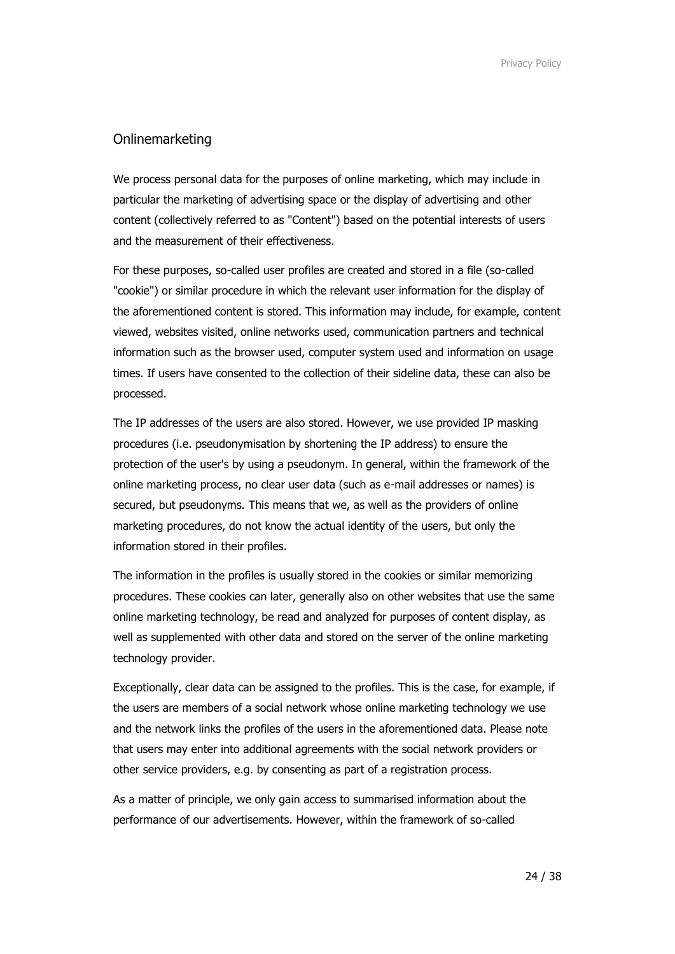## Onlinemarketing

We process personal data for the purposes of online marketing, which may include in particular the marketing of advertising space or the display of advertising and other content (collectively referred to as "Content") based on the potential interests of users and the measurement of their effectiveness.

For these purposes, so-called user profiles are created and stored in a file (so-called "cookie") or similar procedure in which the relevant user information for the display of the aforementioned content is stored. This information may include, for example, content viewed, websites visited, online networks used, communication partners and technical information such as the browser used, computer system used and information on usage times. If users have consented to the collection of their sideline data, these can also be processed.

The IP addresses of the users are also stored. However, we use provided IP masking procedures (i.e. pseudonymisation by shortening the IP address) to ensure the protection of the user's by using a pseudonym. In general, within the framework of the online marketing process, no clear user data (such as e-mail addresses or names) is secured, but pseudonyms. This means that we, as well as the providers of online marketing procedures, do not know the actual identity of the users, but only the information stored in their profiles.

The information in the profiles is usually stored in the cookies or similar memorizing procedures. These cookies can later, generally also on other websites that use the same online marketing technology, be read and analyzed for purposes of content display, as well as supplemented with other data and stored on the server of the online marketing technology provider.

Exceptionally, clear data can be assigned to the profiles. This is the case, for example, if the users are members of a social network whose online marketing technology we use and the network links the profiles of the users in the aforementioned data. Please note that users may enter into additional agreements with the social network providers or other service providers, e.g. by consenting as part of a registration process.

As a matter of principle, we only gain access to summarised information about the performance of our advertisements. However, within the framework of so-called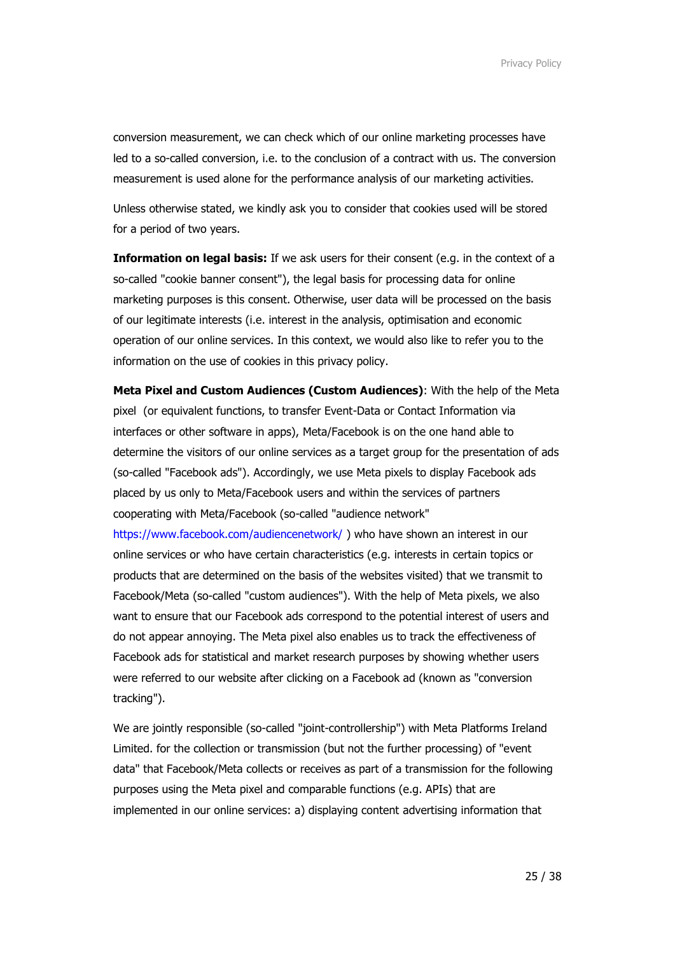conversion measurement, we can check which of our online marketing processes have led to a so-called conversion, i.e. to the conclusion of a contract with us. The conversion measurement is used alone for the performance analysis of our marketing activities.

Unless otherwise stated, we kindly ask you to consider that cookies used will be stored for a period of two years.

**Information on legal basis:** If we ask users for their consent (e.g. in the context of a so-called "cookie banner consent"), the legal basis for processing data for online marketing purposes is this consent. Otherwise, user data will be processed on the basis of our legitimate interests (i.e. interest in the analysis, optimisation and economic operation of our online services. In this context, we would also like to refer you to the information on the use of cookies in this privacy policy.

**Meta Pixel and Custom Audiences (Custom Audiences)**: With the help of the Meta pixel (or equivalent functions, to transfer Event-Data or Contact Information via interfaces or other software in apps), Meta/Facebook is on the one hand able to determine the visitors of our online services as a target group for the presentation of ads (so-called "Facebook ads"). Accordingly, we use Meta pixels to display Facebook ads placed by us only to Meta/Facebook users and within the services of partners cooperating with Meta/Facebook (so-called "audience network" <https://www.facebook.com/audiencenetwork/> ) who have shown an interest in our

online services or who have certain characteristics (e.g. interests in certain topics or products that are determined on the basis of the websites visited) that we transmit to Facebook/Meta (so-called "custom audiences"). With the help of Meta pixels, we also want to ensure that our Facebook ads correspond to the potential interest of users and do not appear annoying. The Meta pixel also enables us to track the effectiveness of Facebook ads for statistical and market research purposes by showing whether users were referred to our website after clicking on a Facebook ad (known as "conversion tracking").

We are jointly responsible (so-called "joint-controllership") with Meta Platforms Ireland Limited. for the collection or transmission (but not the further processing) of "event data" that Facebook/Meta collects or receives as part of a transmission for the following purposes using the Meta pixel and comparable functions (e.g. APIs) that are implemented in our online services: a) displaying content advertising information that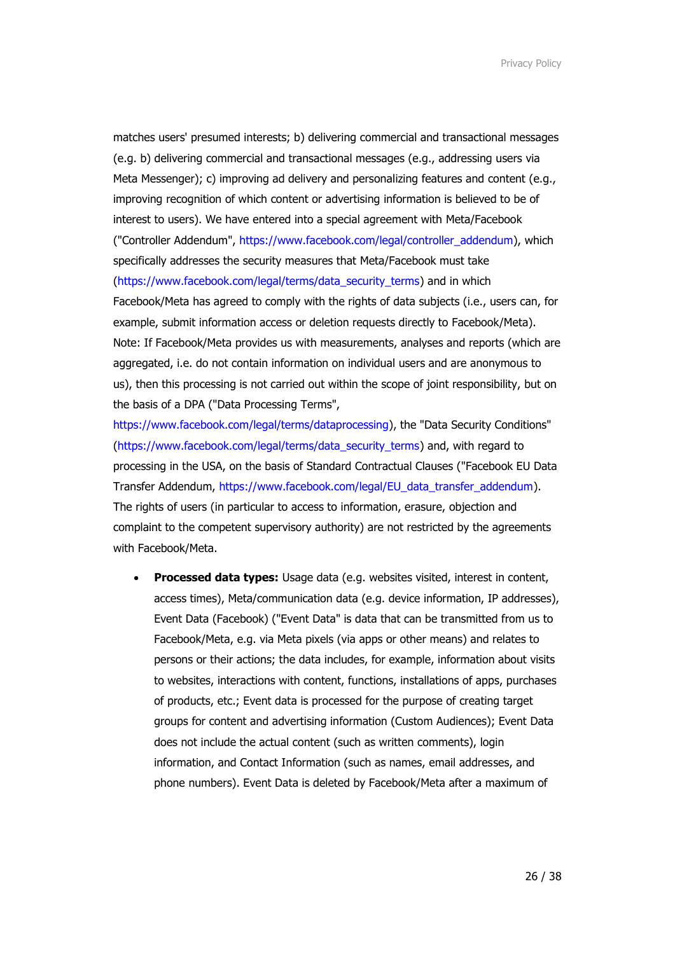matches users' presumed interests; b) delivering commercial and transactional messages (e.g. b) delivering commercial and transactional messages (e.g., addressing users via Meta Messenger); c) improving ad delivery and personalizing features and content (e.g., improving recognition of which content or advertising information is believed to be of interest to users). We have entered into a special agreement with Meta/Facebook ("Controller Addendum", [https://www.facebook.com/legal/controller\\_addendum\)](https://www.facebook.com/legal/controller_addendum), which specifically addresses the security measures that Meta/Facebook must take [\(https://www.facebook.com/legal/terms/data\\_security\\_terms\)](https://www.facebook.com/legal/terms/data_security_terms) and in which Facebook/Meta has agreed to comply with the rights of data subjects (i.e., users can, for example, submit information access or deletion requests directly to Facebook/Meta). Note: If Facebook/Meta provides us with measurements, analyses and reports (which are aggregated, i.e. do not contain information on individual users and are anonymous to us), then this processing is not carried out within the scope of joint responsibility, but on the basis of a DPA ("Data Processing Terms",

[https://www.facebook.com/legal/terms/dataprocessing\)](https://www.facebook.com/legal/terms/dataprocessing), the "Data Security Conditions" [\(https://www.facebook.com/legal/terms/data\\_security\\_terms\)](https://www.facebook.com/legal/terms/data_security_terms) and, with regard to processing in the USA, on the basis of Standard Contractual Clauses ("Facebook EU Data Transfer Addendum, [https://www.facebook.com/legal/EU\\_data\\_transfer\\_addendum\)](https://www.facebook.com/legal/EU_data_transfer_addendum). The rights of users (in particular to access to information, erasure, objection and complaint to the competent supervisory authority) are not restricted by the agreements with Facebook/Meta.

• **Processed data types:** Usage data (e.g. websites visited, interest in content, access times), Meta/communication data (e.g. device information, IP addresses), Event Data (Facebook) ("Event Data" is data that can be transmitted from us to Facebook/Meta, e.g. via Meta pixels (via apps or other means) and relates to persons or their actions; the data includes, for example, information about visits to websites, interactions with content, functions, installations of apps, purchases of products, etc.; Event data is processed for the purpose of creating target groups for content and advertising information (Custom Audiences); Event Data does not include the actual content (such as written comments), login information, and Contact Information (such as names, email addresses, and phone numbers). Event Data is deleted by Facebook/Meta after a maximum of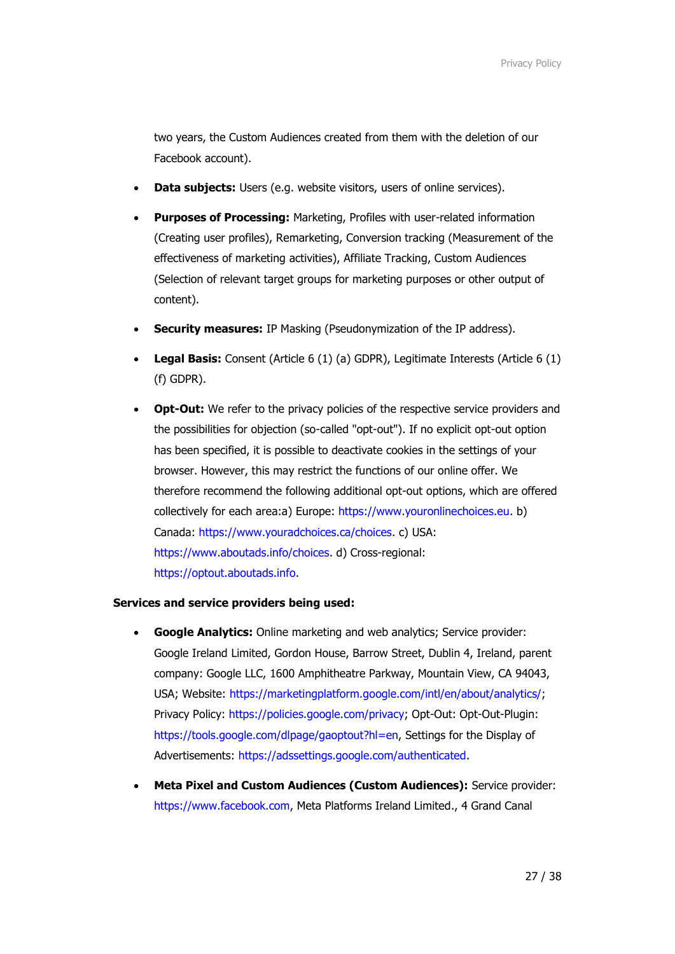two years, the Custom Audiences created from them with the deletion of our Facebook account).

- **Data subjects:** Users (e.g. website visitors, users of online services).
- **Purposes of Processing:** Marketing, Profiles with user-related information (Creating user profiles), Remarketing, Conversion tracking (Measurement of the effectiveness of marketing activities), Affiliate Tracking, Custom Audiences (Selection of relevant target groups for marketing purposes or other output of content).
- **Security measures:** IP Masking (Pseudonymization of the IP address).
- **Legal Basis:** Consent (Article 6 (1) (a) GDPR), Legitimate Interests (Article 6 (1) (f) GDPR).
- **Opt-Out:** We refer to the privacy policies of the respective service providers and the possibilities for objection (so-called "opt-out"). If no explicit opt-out option has been specified, it is possible to deactivate cookies in the settings of your browser. However, this may restrict the functions of our online offer. We therefore recommend the following additional opt-out options, which are offered collectively for each area:a) Europe: [https://www.youronlinechoices.eu.](https://www.youronlinechoices.eu/) b) Canada: [https://www.youradchoices.ca/choices.](https://www.youradchoices.ca/choices) c) USA: [https://www.aboutads.info/choices.](https://www.aboutads.info/choices) d) Cross-regional: [https://optout.aboutads.info.](https://optout.aboutads.info/)

## **Services and service providers being used:**

- **Google Analytics:** Online marketing and web analytics; Service provider: Google Ireland Limited, Gordon House, Barrow Street, Dublin 4, Ireland, parent company: Google LLC, 1600 Amphitheatre Parkway, Mountain View, CA 94043, USA; Website: [https://marketingplatform.google.com/intl/en/about/analytics/;](https://marketingplatform.google.com/intl/en/about/analytics/) Privacy Policy: [https://policies.google.com/privacy;](https://policies.google.com/privacy) Opt-Out: Opt-Out-Plugin: [https://tools.google.com/dlpage/gaoptout?hl=en,](https://tools.google.com/dlpage/gaoptout?hl=en) Settings for the Display of Advertisements: [https://adssettings.google.com/authenticated.](https://adssettings.google.com/authenticated)
- **Meta Pixel and Custom Audiences (Custom Audiences):** Service provider: [https://www.facebook.com,](https://www.facebook.com/) Meta Platforms Ireland Limited., 4 Grand Canal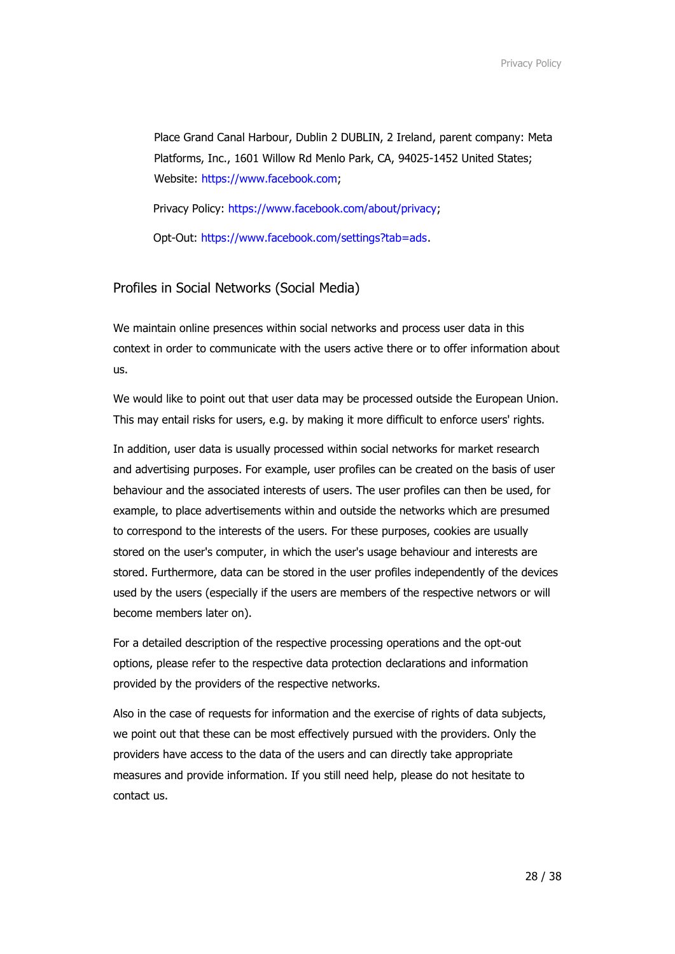Place Grand Canal Harbour, Dublin 2 DUBLIN, 2 Ireland, parent company: Meta Platforms, Inc., 1601 Willow Rd Menlo Park, CA, 94025-1452 United States; Website: [https://www.facebook.com;](https://www.facebook.com/)

Privacy Policy: [https://www.facebook.com/about/privacy;](https://www.facebook.com/about/privacy)

Opt-Out: [https://www.facebook.com/settings?tab=ads.](https://www.facebook.com/settings?tab=ads)

#### Profiles in Social Networks (Social Media)

We maintain online presences within social networks and process user data in this context in order to communicate with the users active there or to offer information about us.

We would like to point out that user data may be processed outside the European Union. This may entail risks for users, e.g. by making it more difficult to enforce users' rights.

In addition, user data is usually processed within social networks for market research and advertising purposes. For example, user profiles can be created on the basis of user behaviour and the associated interests of users. The user profiles can then be used, for example, to place advertisements within and outside the networks which are presumed to correspond to the interests of the users. For these purposes, cookies are usually stored on the user's computer, in which the user's usage behaviour and interests are stored. Furthermore, data can be stored in the user profiles independently of the devices used by the users (especially if the users are members of the respective networs or will become members later on).

For a detailed description of the respective processing operations and the opt-out options, please refer to the respective data protection declarations and information provided by the providers of the respective networks.

Also in the case of requests for information and the exercise of rights of data subjects, we point out that these can be most effectively pursued with the providers. Only the providers have access to the data of the users and can directly take appropriate measures and provide information. If you still need help, please do not hesitate to contact us.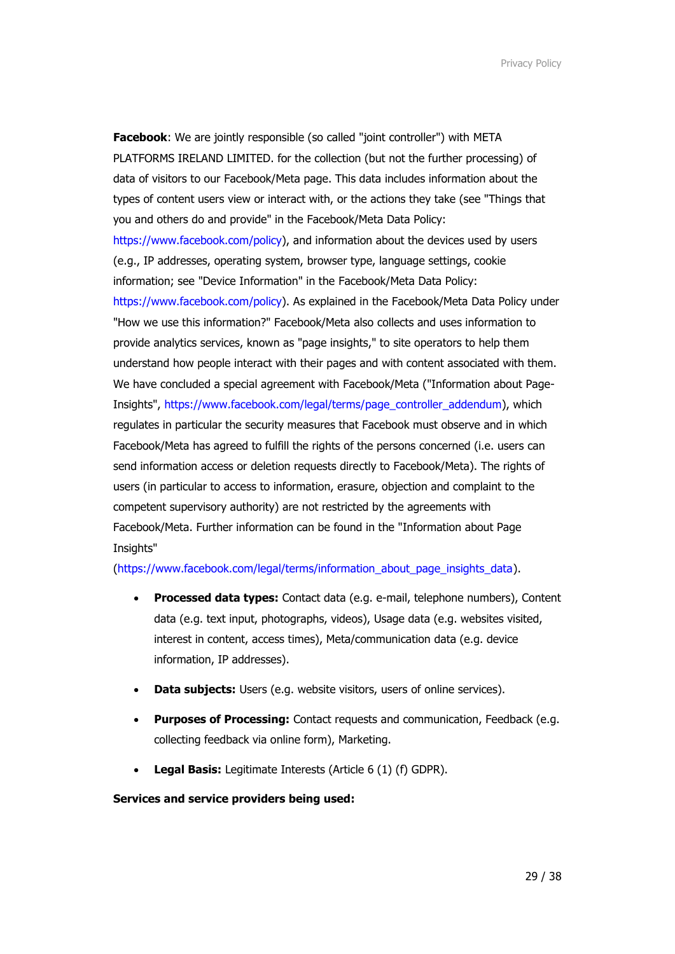**Facebook**: We are jointly responsible (so called "joint controller") with META PLATFORMS IRELAND LIMITED. for the collection (but not the further processing) of data of visitors to our Facebook/Meta page. This data includes information about the types of content users view or interact with, or the actions they take (see "Things that you and others do and provide" in the Facebook/Meta Data Policy: [https://www.facebook.com/policy\)](https://www.facebook.com/policy), and information about the devices used by users (e.g., IP addresses, operating system, browser type, language settings, cookie information; see "Device Information" in the Facebook/Meta Data Policy: [https://www.facebook.com/policy\)](https://www.facebook.com/policy). As explained in the Facebook/Meta Data Policy under "How we use this information?" Facebook/Meta also collects and uses information to provide analytics services, known as "page insights," to site operators to help them understand how people interact with their pages and with content associated with them. We have concluded a special agreement with Facebook/Meta ("Information about Page-Insights", [https://www.facebook.com/legal/terms/page\\_controller\\_addendum\)](https://www.facebook.com/legal/terms/page_controller_addendum), which regulates in particular the security measures that Facebook must observe and in which Facebook/Meta has agreed to fulfill the rights of the persons concerned (i.e. users can send information access or deletion requests directly to Facebook/Meta). The rights of users (in particular to access to information, erasure, objection and complaint to the competent supervisory authority) are not restricted by the agreements with Facebook/Meta. Further information can be found in the "Information about Page Insights"

#### [\(https://www.facebook.com/legal/terms/information\\_about\\_page\\_insights\\_data\)](https://www.facebook.com/legal/terms/information_about_page_insights_data).

- **Processed data types:** Contact data (e.g. e-mail, telephone numbers), Content data (e.g. text input, photographs, videos), Usage data (e.g. websites visited, interest in content, access times), Meta/communication data (e.g. device information, IP addresses).
- **Data subjects:** Users (e.g. website visitors, users of online services).
- **Purposes of Processing:** Contact requests and communication, Feedback (e.g. collecting feedback via online form), Marketing.
- **Legal Basis:** Legitimate Interests (Article 6 (1) (f) GDPR).

## **Services and service providers being used:**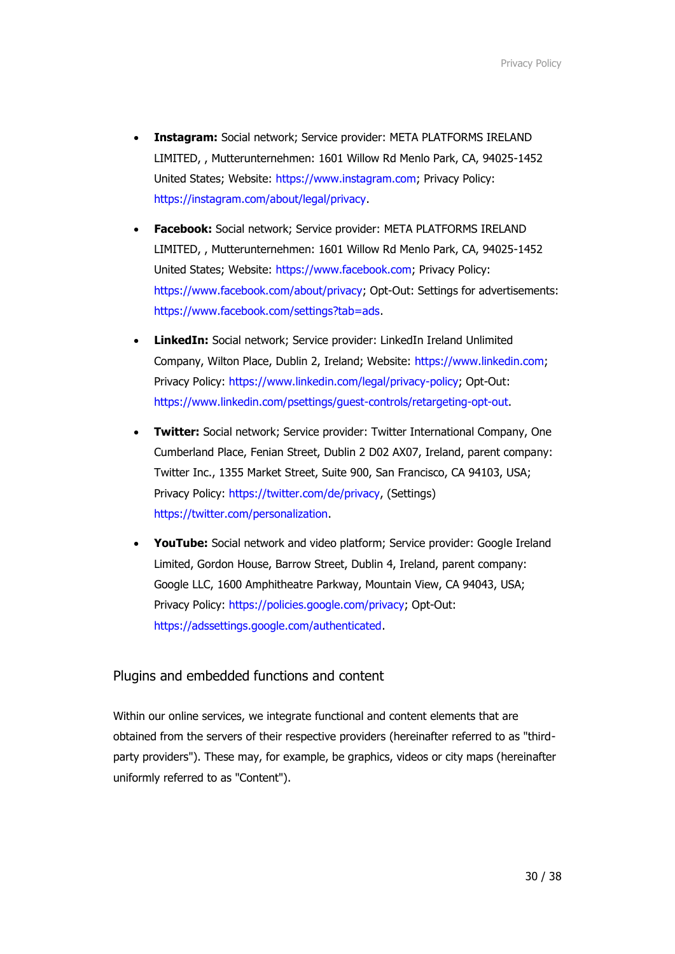- **Instagram:** Social network; Service provider: META PLATFORMS IRELAND LIMITED, , Mutterunternehmen: 1601 Willow Rd Menlo Park, CA, 94025-1452 United States; Website: [https://www.instagram.com;](https://www.instagram.com/) Privacy Policy: [https://instagram.com/about/legal/privacy.](https://instagram.com/about/legal/privacy)
- **Facebook:** Social network; Service provider: META PLATFORMS IRELAND LIMITED, , Mutterunternehmen: 1601 Willow Rd Menlo Park, CA, 94025-1452 United States; Website: [https://www.facebook.com;](https://www.facebook.com/) Privacy Policy: [https://www.facebook.com/about/privacy;](https://www.facebook.com/about/privacy) Opt-Out: Settings for advertisements: [https://www.facebook.com/settings?tab=ads.](https://www.facebook.com/settings?tab=ads)
- **LinkedIn:** Social network; Service provider: LinkedIn Ireland Unlimited Company, Wilton Place, Dublin 2, Ireland; Website: [https://www.linkedin.com;](https://www.linkedin.com/) Privacy Policy: [https://www.linkedin.com/legal/privacy-policy;](https://www.linkedin.com/legal/privacy-policy) Opt-Out: [https://www.linkedin.com/psettings/guest-controls/retargeting-opt-out.](https://www.linkedin.com/psettings/guest-controls/retargeting-opt-out)
- **Twitter:** Social network; Service provider: Twitter International Company, One Cumberland Place, Fenian Street, Dublin 2 D02 AX07, Ireland, parent company: Twitter Inc., 1355 Market Street, Suite 900, San Francisco, CA 94103, USA; Privacy Policy: [https://twitter.com/de/privacy,](https://twitter.com/de/privacy) (Settings) [https://twitter.com/personalization.](https://twitter.com/personalization)
- **YouTube:** Social network and video platform; Service provider: Google Ireland Limited, Gordon House, Barrow Street, Dublin 4, Ireland, parent company: Google LLC, 1600 Amphitheatre Parkway, Mountain View, CA 94043, USA; Privacy Policy: [https://policies.google.com/privacy;](https://policies.google.com/privacy) Opt-Out: [https://adssettings.google.com/authenticated.](https://adssettings.google.com/authenticated)

## Plugins and embedded functions and content

Within our online services, we integrate functional and content elements that are obtained from the servers of their respective providers (hereinafter referred to as "thirdparty providers"). These may, for example, be graphics, videos or city maps (hereinafter uniformly referred to as "Content").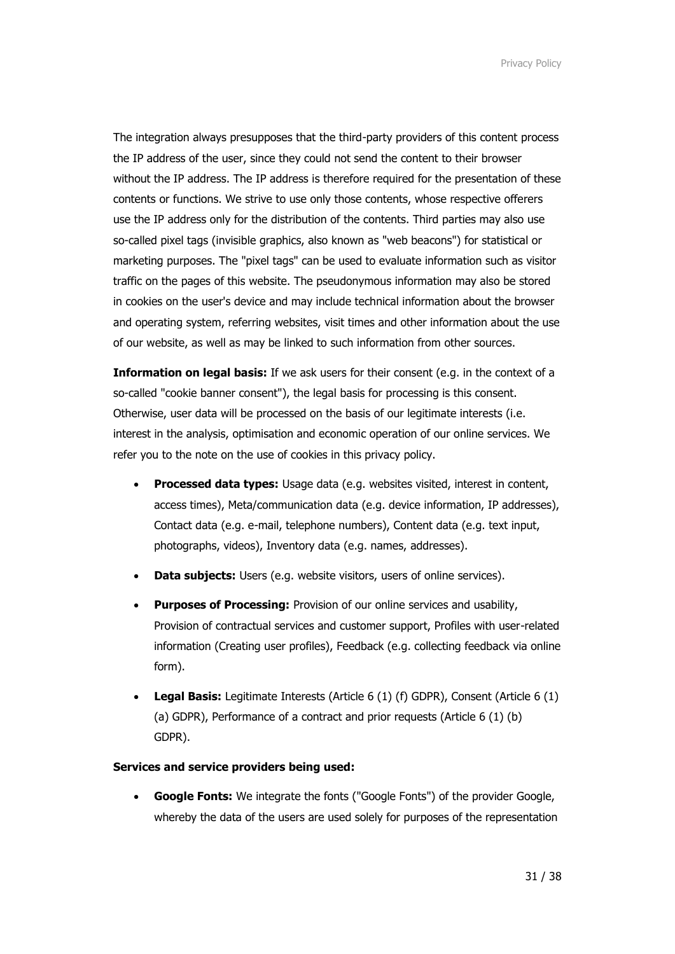The integration always presupposes that the third-party providers of this content process the IP address of the user, since they could not send the content to their browser without the IP address. The IP address is therefore required for the presentation of these contents or functions. We strive to use only those contents, whose respective offerers use the IP address only for the distribution of the contents. Third parties may also use so-called pixel tags (invisible graphics, also known as "web beacons") for statistical or marketing purposes. The "pixel tags" can be used to evaluate information such as visitor traffic on the pages of this website. The pseudonymous information may also be stored in cookies on the user's device and may include technical information about the browser and operating system, referring websites, visit times and other information about the use of our website, as well as may be linked to such information from other sources.

**Information on legal basis:** If we ask users for their consent (e.g. in the context of a so-called "cookie banner consent"), the legal basis for processing is this consent. Otherwise, user data will be processed on the basis of our legitimate interests (i.e. interest in the analysis, optimisation and economic operation of our online services. We refer you to the note on the use of cookies in this privacy policy.

- **Processed data types:** Usage data (e.g. websites visited, interest in content, access times), Meta/communication data (e.g. device information, IP addresses), Contact data (e.g. e-mail, telephone numbers), Content data (e.g. text input, photographs, videos), Inventory data (e.g. names, addresses).
- **Data subjects:** Users (e.g. website visitors, users of online services).
- **Purposes of Processing:** Provision of our online services and usability, Provision of contractual services and customer support, Profiles with user-related information (Creating user profiles), Feedback (e.g. collecting feedback via online form).
- **Legal Basis:** Legitimate Interests (Article 6 (1) (f) GDPR), Consent (Article 6 (1) (a) GDPR), Performance of a contract and prior requests (Article 6 (1) (b) GDPR).

## **Services and service providers being used:**

• **Google Fonts:** We integrate the fonts ("Google Fonts") of the provider Google, whereby the data of the users are used solely for purposes of the representation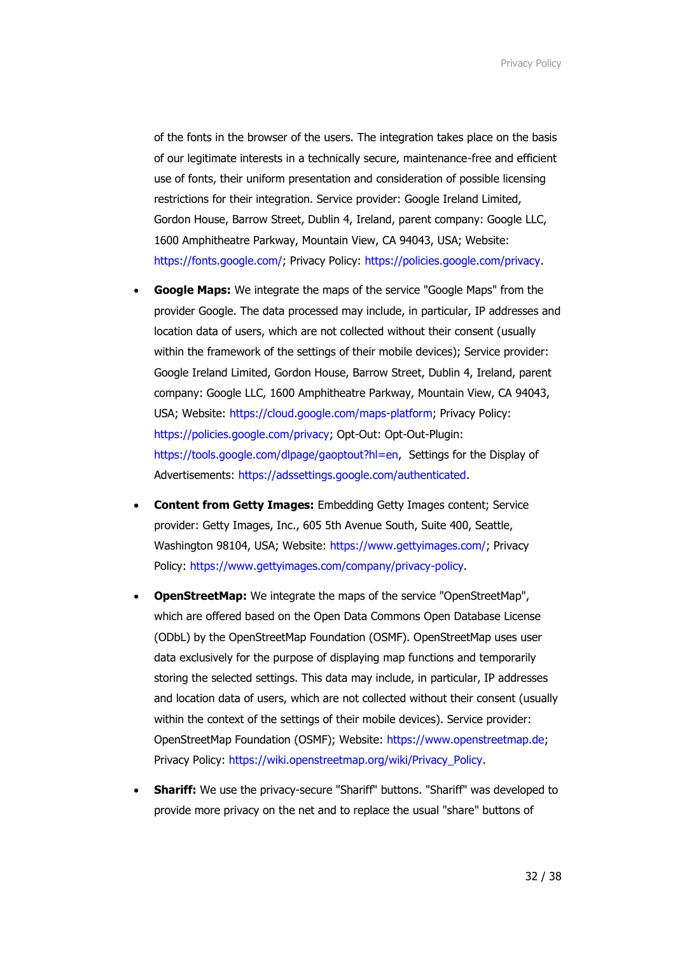of the fonts in the browser of the users. The integration takes place on the basis of our legitimate interests in a technically secure, maintenance-free and efficient use of fonts, their uniform presentation and consideration of possible licensing restrictions for their integration. Service provider: Google Ireland Limited, Gordon House, Barrow Street, Dublin 4, Ireland, parent company: Google LLC, 1600 Amphitheatre Parkway, Mountain View, CA 94043, USA; Website: [https://fonts.google.com/;](https://fonts.google.com/) Privacy Policy: [https://policies.google.com/privacy.](https://policies.google.com/privacy)

- **Google Maps:** We integrate the maps of the service "Google Maps" from the provider Google. The data processed may include, in particular, IP addresses and location data of users, which are not collected without their consent (usually within the framework of the settings of their mobile devices); Service provider: Google Ireland Limited, Gordon House, Barrow Street, Dublin 4, Ireland, parent company: Google LLC, 1600 Amphitheatre Parkway, Mountain View, CA 94043, USA; Website: [https://cloud.google.com/maps-platform;](https://cloud.google.com/maps-platform) Privacy Policy: [https://policies.google.com/privacy;](https://policies.google.com/privacy) Opt-Out: Opt-Out-Plugin: [https://tools.google.com/dlpage/gaoptout?hl=en,](https://tools.google.com/dlpage/gaoptout?hl=en) Settings for the Display of Advertisements: [https://adssettings.google.com/authenticated.](https://adssettings.google.com/authenticated)
- **Content from Getty Images:** Embedding Getty Images content; Service provider: Getty Images, Inc., 605 5th Avenue South, Suite 400, Seattle, Washington 98104, USA; Website: [https://www.gettyimages.com/;](https://www.gettyimages.com/) Privacy Policy: [https://www.gettyimages.com/company/privacy-policy.](https://www.gettyimages.com/company/privacy-policy)
- **OpenStreetMap:** We integrate the maps of the service "OpenStreetMap", which are offered based on the Open Data Commons Open Database License (ODbL) by the OpenStreetMap Foundation (OSMF). OpenStreetMap uses user data exclusively for the purpose of displaying map functions and temporarily storing the selected settings. This data may include, in particular, IP addresses and location data of users, which are not collected without their consent (usually within the context of the settings of their mobile devices). Service provider: OpenStreetMap Foundation (OSMF); Website: [https://www.openstreetmap.de;](https://www.openstreetmap.de/) Privacy Policy: [https://wiki.openstreetmap.org/wiki/Privacy\\_Policy.](https://wiki.openstreetmap.org/wiki/Privacy_Policy)
- **Shariff:** We use the privacy-secure "Shariff" buttons. "Shariff" was developed to provide more privacy on the net and to replace the usual "share" buttons of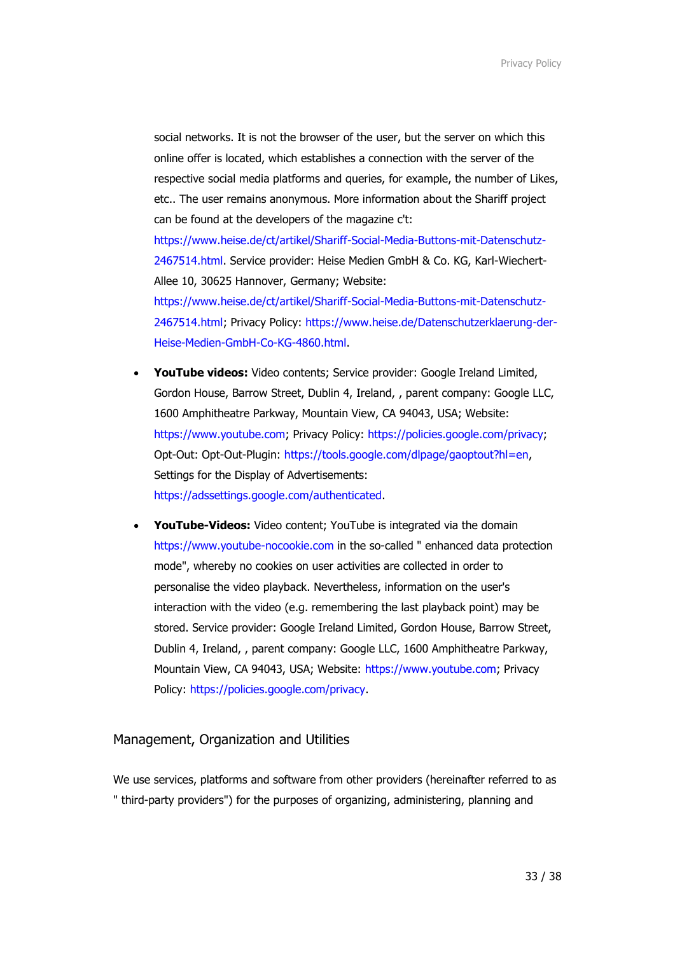social networks. It is not the browser of the user, but the server on which this online offer is located, which establishes a connection with the server of the respective social media platforms and queries, for example, the number of Likes, etc.. The user remains anonymous. More information about the Shariff project can be found at the developers of the magazine c't: [https://www.heise.de/ct/artikel/Shariff-Social-Media-Buttons-mit-Datenschutz-](https://www.heise.de/ct/artikel/Shariff-Social-Media-Buttons-mit-Datenschutz-2467514.html)[2467514.html.](https://www.heise.de/ct/artikel/Shariff-Social-Media-Buttons-mit-Datenschutz-2467514.html) Service provider: Heise Medien GmbH & Co. KG, Karl-Wiechert-Allee 10, 30625 Hannover, Germany; Website: [https://www.heise.de/ct/artikel/Shariff-Social-Media-Buttons-mit-Datenschutz-](https://www.heise.de/ct/artikel/Shariff-Social-Media-Buttons-mit-Datenschutz-2467514.html)[2467514.html;](https://www.heise.de/ct/artikel/Shariff-Social-Media-Buttons-mit-Datenschutz-2467514.html) Privacy Policy: [https://www.heise.de/Datenschutzerklaerung-der-](https://www.heise.de/Datenschutzerklaerung-der-Heise-Medien-GmbH-Co-KG-4860.html)[Heise-Medien-GmbH-Co-KG-4860.html.](https://www.heise.de/Datenschutzerklaerung-der-Heise-Medien-GmbH-Co-KG-4860.html)

- **YouTube videos:** Video contents; Service provider: Google Ireland Limited, Gordon House, Barrow Street, Dublin 4, Ireland, , parent company: Google LLC, 1600 Amphitheatre Parkway, Mountain View, CA 94043, USA; Website: [https://www.youtube.com;](https://www.youtube.com/) Privacy Policy: [https://policies.google.com/privacy;](https://policies.google.com/privacy) Opt-Out: Opt-Out-Plugin: [https://tools.google.com/dlpage/gaoptout?hl=en,](https://tools.google.com/dlpage/gaoptout?hl=en) Settings for the Display of Advertisements: [https://adssettings.google.com/authenticated.](https://adssettings.google.com/authenticated)
- **YouTube-Videos:** Video content; YouTube is integrated via the domain [https://www.youtube-nocookie.com](https://www.youtube-nocookie.com/) in the so-called " enhanced data protection mode", whereby no cookies on user activities are collected in order to personalise the video playback. Nevertheless, information on the user's interaction with the video (e.g. remembering the last playback point) may be stored. Service provider: Google Ireland Limited, Gordon House, Barrow Street, Dublin 4, Ireland, , parent company: Google LLC, 1600 Amphitheatre Parkway, Mountain View, CA 94043, USA; Website: [https://www.youtube.com;](https://www.youtube.com/) Privacy Policy: [https://policies.google.com/privacy.](https://policies.google.com/privacy)

#### Management, Organization and Utilities

We use services, platforms and software from other providers (hereinafter referred to as " third-party providers") for the purposes of organizing, administering, planning and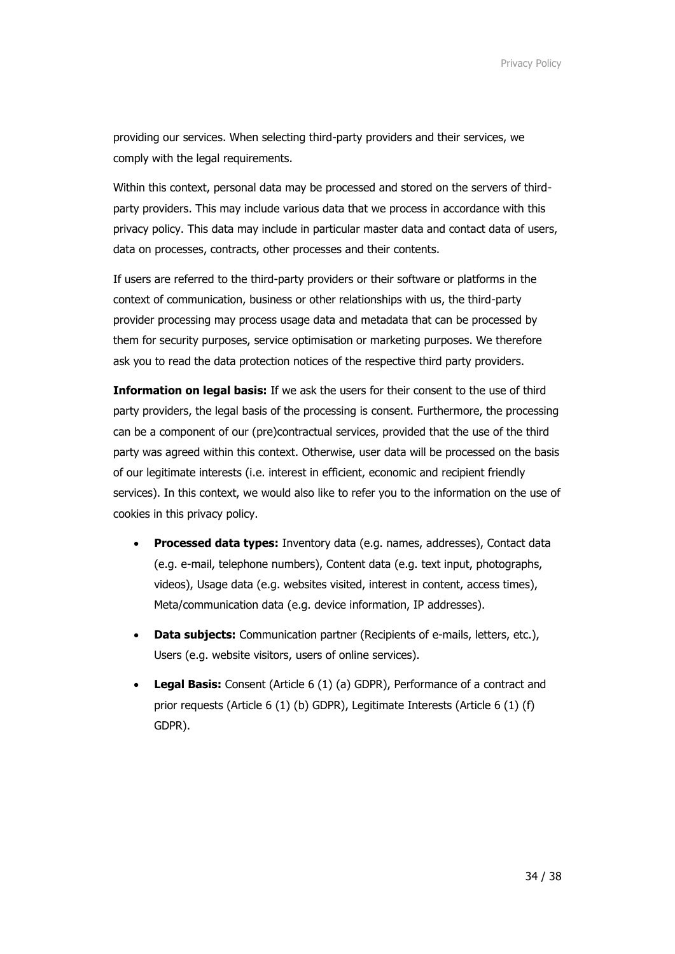providing our services. When selecting third-party providers and their services, we comply with the legal requirements.

Within this context, personal data may be processed and stored on the servers of thirdparty providers. This may include various data that we process in accordance with this privacy policy. This data may include in particular master data and contact data of users, data on processes, contracts, other processes and their contents.

If users are referred to the third-party providers or their software or platforms in the context of communication, business or other relationships with us, the third-party provider processing may process usage data and metadata that can be processed by them for security purposes, service optimisation or marketing purposes. We therefore ask you to read the data protection notices of the respective third party providers.

**Information on legal basis:** If we ask the users for their consent to the use of third party providers, the legal basis of the processing is consent. Furthermore, the processing can be a component of our (pre)contractual services, provided that the use of the third party was agreed within this context. Otherwise, user data will be processed on the basis of our legitimate interests (i.e. interest in efficient, economic and recipient friendly services). In this context, we would also like to refer you to the information on the use of cookies in this privacy policy.

- **Processed data types:** Inventory data (e.g. names, addresses), Contact data (e.g. e-mail, telephone numbers), Content data (e.g. text input, photographs, videos), Usage data (e.g. websites visited, interest in content, access times), Meta/communication data (e.g. device information, IP addresses).
- **Data subjects:** Communication partner (Recipients of e-mails, letters, etc.), Users (e.g. website visitors, users of online services).
- **Legal Basis:** Consent (Article 6 (1) (a) GDPR), Performance of a contract and prior requests (Article 6 (1) (b) GDPR), Legitimate Interests (Article 6 (1) (f) GDPR).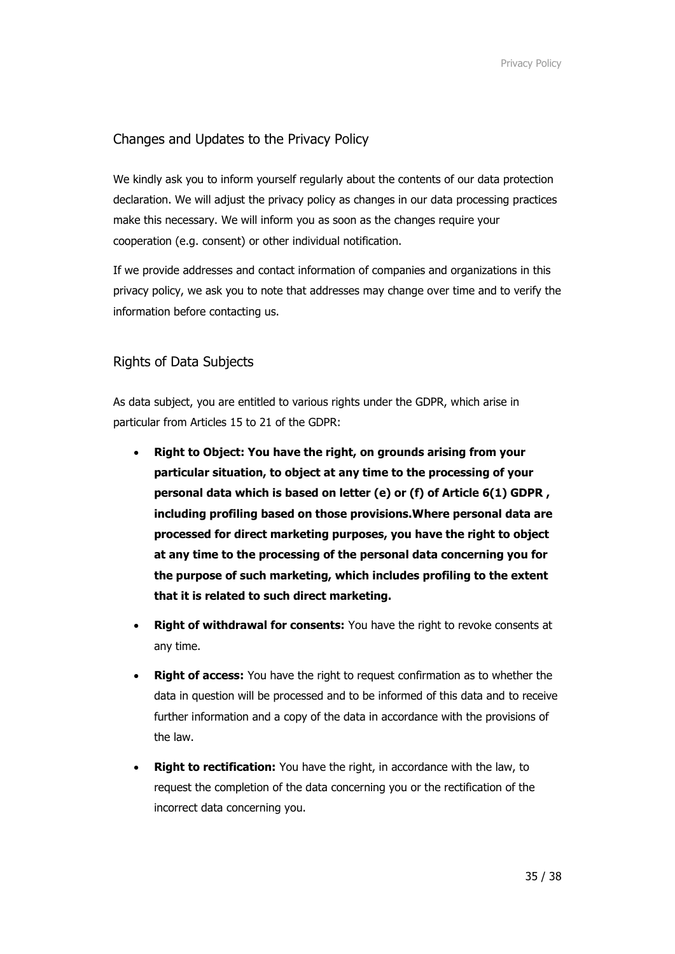# Changes and Updates to the Privacy Policy

We kindly ask you to inform yourself regularly about the contents of our data protection declaration. We will adjust the privacy policy as changes in our data processing practices make this necessary. We will inform you as soon as the changes require your cooperation (e.g. consent) or other individual notification.

If we provide addresses and contact information of companies and organizations in this privacy policy, we ask you to note that addresses may change over time and to verify the information before contacting us.

# Rights of Data Subjects

As data subject, you are entitled to various rights under the GDPR, which arise in particular from Articles 15 to 21 of the GDPR:

- **Right to Object: You have the right, on grounds arising from your particular situation, to object at any time to the processing of your personal data which is based on letter (e) or (f) of Article 6(1) GDPR , including profiling based on those provisions.Where personal data are processed for direct marketing purposes, you have the right to object at any time to the processing of the personal data concerning you for the purpose of such marketing, which includes profiling to the extent that it is related to such direct marketing.**
- **Right of withdrawal for consents:** You have the right to revoke consents at any time.
- **Right of access:** You have the right to request confirmation as to whether the data in question will be processed and to be informed of this data and to receive further information and a copy of the data in accordance with the provisions of the law.
- **Right to rectification:** You have the right, in accordance with the law, to request the completion of the data concerning you or the rectification of the incorrect data concerning you.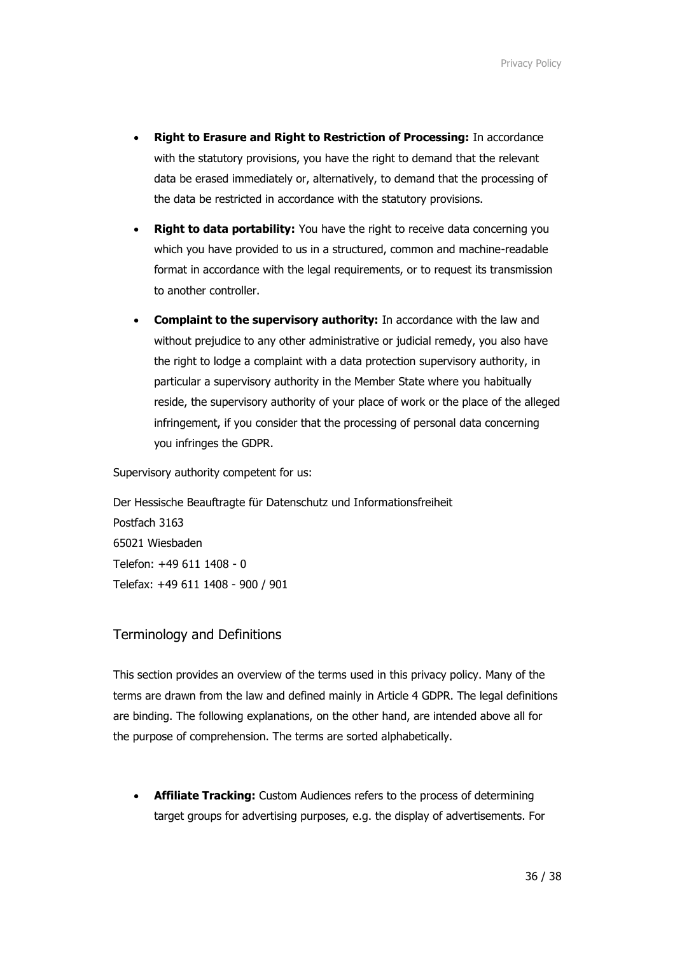- **Right to Erasure and Right to Restriction of Processing:** In accordance with the statutory provisions, you have the right to demand that the relevant data be erased immediately or, alternatively, to demand that the processing of the data be restricted in accordance with the statutory provisions.
- **Right to data portability:** You have the right to receive data concerning you which you have provided to us in a structured, common and machine-readable format in accordance with the legal requirements, or to request its transmission to another controller.
- **Complaint to the supervisory authority:** In accordance with the law and without prejudice to any other administrative or judicial remedy, you also have the right to lodge a complaint with a data protection supervisory authority, in particular a supervisory authority in the Member State where you habitually reside, the supervisory authority of your place of work or the place of the alleged infringement, if you consider that the processing of personal data concerning you infringes the GDPR.

Supervisory authority competent for us:

Der Hessische Beauftragte für Datenschutz und Informationsfreiheit Postfach 3163 65021 Wiesbaden Telefon: +49 611 1408 - 0 Telefax: +49 611 1408 - 900 / 901

## Terminology and Definitions

This section provides an overview of the terms used in this privacy policy. Many of the terms are drawn from the law and defined mainly in Article 4 GDPR. The legal definitions are binding. The following explanations, on the other hand, are intended above all for the purpose of comprehension. The terms are sorted alphabetically.

• **Affiliate Tracking:** Custom Audiences refers to the process of determining target groups for advertising purposes, e.g. the display of advertisements. For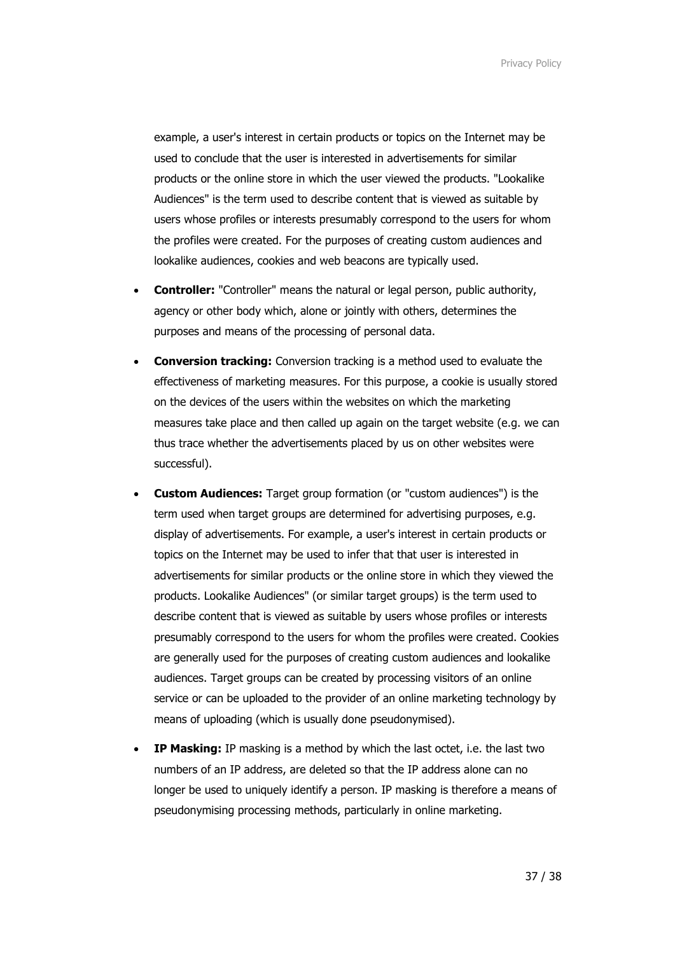example, a user's interest in certain products or topics on the Internet may be used to conclude that the user is interested in advertisements for similar products or the online store in which the user viewed the products. "Lookalike Audiences" is the term used to describe content that is viewed as suitable by users whose profiles or interests presumably correspond to the users for whom the profiles were created. For the purposes of creating custom audiences and lookalike audiences, cookies and web beacons are typically used.

- **Controller:** "Controller" means the natural or legal person, public authority, agency or other body which, alone or jointly with others, determines the purposes and means of the processing of personal data.
- **Conversion tracking:** Conversion tracking is a method used to evaluate the effectiveness of marketing measures. For this purpose, a cookie is usually stored on the devices of the users within the websites on which the marketing measures take place and then called up again on the target website (e.g. we can thus trace whether the advertisements placed by us on other websites were successful).
- **Custom Audiences:** Target group formation (or "custom audiences") is the term used when target groups are determined for advertising purposes, e.g. display of advertisements. For example, a user's interest in certain products or topics on the Internet may be used to infer that that user is interested in advertisements for similar products or the online store in which they viewed the products. Lookalike Audiences" (or similar target groups) is the term used to describe content that is viewed as suitable by users whose profiles or interests presumably correspond to the users for whom the profiles were created. Cookies are generally used for the purposes of creating custom audiences and lookalike audiences. Target groups can be created by processing visitors of an online service or can be uploaded to the provider of an online marketing technology by means of uploading (which is usually done pseudonymised).
- **IP Masking:** IP masking is a method by which the last octet, i.e. the last two numbers of an IP address, are deleted so that the IP address alone can no longer be used to uniquely identify a person. IP masking is therefore a means of pseudonymising processing methods, particularly in online marketing.